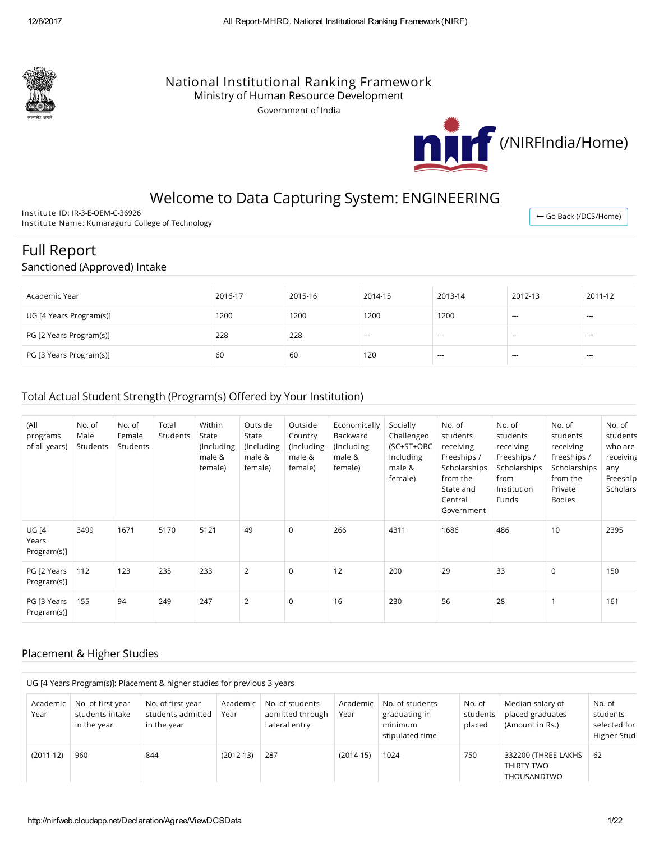

### National Institutional Ranking Framework

Ministry of Human Resource Development

Government of India



## Welcome to Data Capturing System: ENGINEERING

Institute ID: IR-3-E-OEM-C-36926 Institute Name: Kumaraguru College of Technology

← Go Back [\(/DCS/Home\)](http://nirfweb.cloudapp.net/DCS/Home)

# Full Report

### Sanctioned (Approved) Intake

| Academic Year           | 2016-17 | 2015-16 | 2014-15 | 2013-14 | 2012-13 | 2011-12 |
|-------------------------|---------|---------|---------|---------|---------|---------|
| UG [4 Years Program(s)] | 1200    | 1200    | 1200    | 1200    | $-$     | $- - -$ |
| PG [2 Years Program(s)] | 228     | 228     | $-$     | $-$     | $- - -$ | $- - -$ |
| PG [3 Years Program(s)] | 60      | 60      | 120     | $-$     | $-$     | $- - -$ |

### Total Actual Student Strength (Program(s) Offered by Your Institution)

| (All<br>programs<br>of all years)    | No. of<br>Male<br>Students | No. of<br>Female<br>Students | Total<br><b>Students</b> | Within<br>State<br>(Including<br>male &<br>female) | Outside<br>State<br>(Including<br>male &<br>female) | Outside<br>Country<br>(Including<br>male &<br>female) | Economically<br>Backward<br>(Including<br>male &<br>female) | Socially<br>Challenged<br>(SC+ST+OBC<br>Including<br>male &<br>female) | No. of<br>students<br>receiving<br>Freeships /<br>Scholarships<br>from the<br>State and<br>Central<br>Government | No. of<br>students<br>receiving<br>Freeships /<br>Scholarships<br>from<br>Institution<br><b>Funds</b> | No. of<br>students<br>receiving<br>Freeships /<br>Scholarships<br>from the<br>Private<br><b>Bodies</b> | No. of<br>students<br>who are<br>receiving<br>any<br>Freeship<br><b>Scholars</b> |
|--------------------------------------|----------------------------|------------------------------|--------------------------|----------------------------------------------------|-----------------------------------------------------|-------------------------------------------------------|-------------------------------------------------------------|------------------------------------------------------------------------|------------------------------------------------------------------------------------------------------------------|-------------------------------------------------------------------------------------------------------|--------------------------------------------------------------------------------------------------------|----------------------------------------------------------------------------------|
| <b>UG [4</b><br>Years<br>Program(s)] | 3499                       | 1671                         | 5170                     | 5121                                               | 49                                                  | $\mathbf 0$                                           | 266                                                         | 4311                                                                   | 1686                                                                                                             | 486                                                                                                   | 10                                                                                                     | 2395                                                                             |
| PG [2 Years<br>Program(s)]           | 112                        | 123                          | 235                      | 233                                                | 2                                                   | $\Omega$                                              | 12                                                          | 200                                                                    | 29                                                                                                               | 33                                                                                                    | $\mathbf 0$                                                                                            | 150                                                                              |
| PG [3 Years<br>Program(s)]           | 155                        | 94                           | 249                      | 247                                                | 2                                                   | $\mathbf 0$                                           | 16                                                          | 230                                                                    | 56                                                                                                               | 28                                                                                                    |                                                                                                        | 161                                                                              |

### Placement & Higher Studies

|                  | UG [4 Years Program(s)]: Placement & higher studies for previous 3 years |                                                       |                  |                                                      |                  |                                                                |                              |                                                         |                                                   |
|------------------|--------------------------------------------------------------------------|-------------------------------------------------------|------------------|------------------------------------------------------|------------------|----------------------------------------------------------------|------------------------------|---------------------------------------------------------|---------------------------------------------------|
| Academic<br>Year | No. of first year<br>students intake<br>in the year                      | No. of first year<br>students admitted<br>in the year | Academic<br>Year | No. of students<br>admitted through<br>Lateral entry | Academic<br>Year | No. of students<br>graduating in<br>minimum<br>stipulated time | No. of<br>students<br>placed | Median salary of<br>placed graduates<br>(Amount in Rs.) | No. of<br>students<br>selected for<br>Higher Stud |
| $(2011-12)$      | 960                                                                      | 844                                                   | $(2012-13)$      | 287                                                  | $(2014-15)$      | 1024                                                           | 750                          | 332200 (THREE LAKHS<br>THIRTY TWO<br>THOUSANDTWO        | 62                                                |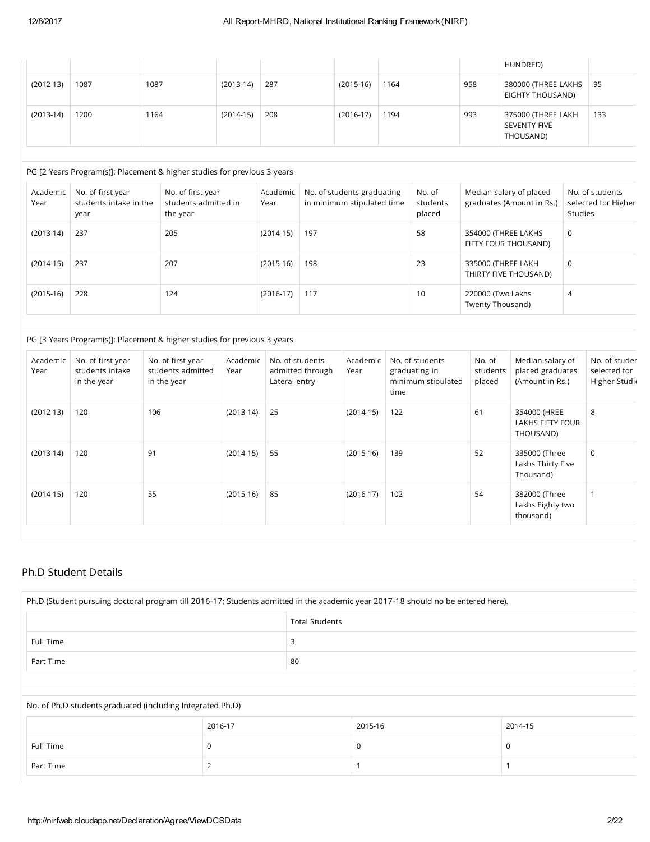|             |      |      |             |     |             |      |     | HUNDRED)                                               |     |
|-------------|------|------|-------------|-----|-------------|------|-----|--------------------------------------------------------|-----|
| $(2012-13)$ | 1087 | 1087 | $(2013-14)$ | 287 | $(2015-16)$ | 1164 | 958 | 380000 (THREE LAKHS<br>EIGHTY THOUSAND)                | 95  |
| $(2013-14)$ | 1200 | 1164 | $(2014-15)$ | 208 | $(2016-17)$ | 1194 | 993 | 375000 (THREE LAKH<br><b>SEVENTY FIVE</b><br>THOUSAND) | 133 |

#### PG [2 Years Program(s)]: Placement & higher studies for previous 3 years

| Academic<br>Year | No. of first year<br>students intake in the<br>year | No. of first year<br>students admitted in<br>the year | Academic<br>Year | No. of students graduating<br>in minimum stipulated time | No. of<br>students<br>placed | Median salary of placed<br>graduates (Amount in Rs.) | No. of students<br>selected for Higher<br><b>Studies</b> |
|------------------|-----------------------------------------------------|-------------------------------------------------------|------------------|----------------------------------------------------------|------------------------------|------------------------------------------------------|----------------------------------------------------------|
| $(2013-14)$      | 237                                                 | 205                                                   | $(2014-15)$      | 197                                                      | 58                           | 354000 (THREE LAKHS<br>FIFTY FOUR THOUSAND)          | 0                                                        |
| $(2014-15)$      | 237                                                 | 207                                                   | $(2015-16)$      | 198                                                      | 23                           | 335000 (THREE LAKH<br>THIRTY FIVE THOUSAND)          | 0                                                        |
| $(2015-16)$      | 228                                                 | 124                                                   | $(2016-17)$      | 117                                                      | 10                           | 220000 (Two Lakhs<br>Twenty Thousand)                | 4                                                        |

#### PG [3 Years Program(s)]: Placement & higher studies for previous 3 years

| Academic<br>Year | No. of first year<br>students intake<br>in the year | No. of first year<br>students admitted<br>in the year | Academic<br>Year | No. of students<br>admitted through<br>Lateral entry | Academic<br>Year | No. of students<br>graduating in<br>minimum stipulated<br>time | No. of<br>students<br>placed | Median salary of<br>placed graduates<br>(Amount in Rs.) | No. of studer<br>selected for<br>Higher Studi |
|------------------|-----------------------------------------------------|-------------------------------------------------------|------------------|------------------------------------------------------|------------------|----------------------------------------------------------------|------------------------------|---------------------------------------------------------|-----------------------------------------------|
| $(2012-13)$      | 120                                                 | 106                                                   | $(2013-14)$      | 25                                                   | $(2014-15)$      | 122                                                            | 61                           | 354000 (HREE<br>LAKHS FIFTY FOUR<br>THOUSAND)           | 8                                             |
| $(2013-14)$      | 120                                                 | 91                                                    | $(2014-15)$      | 55                                                   | $(2015-16)$      | 139                                                            | 52                           | 335000 (Three<br>Lakhs Thirty Five<br>Thousand)         | $\mathbf 0$                                   |
| $(2014-15)$      | 120                                                 | 55                                                    | $(2015-16)$      | 85                                                   | $(2016-17)$      | 102                                                            | 54                           | 382000 (Three<br>Lakhs Eighty two<br>thousand)          |                                               |

### Ph.D Student Details

| Ph.D (Student pursuing doctoral program till 2016-17; Students admitted in the academic year 2017-18 should no be entered here). |  |  |  |  |  |  |
|----------------------------------------------------------------------------------------------------------------------------------|--|--|--|--|--|--|
| <b>Total Students</b>                                                                                                            |  |  |  |  |  |  |
| Full Time                                                                                                                        |  |  |  |  |  |  |
| Part Time<br>80                                                                                                                  |  |  |  |  |  |  |
|                                                                                                                                  |  |  |  |  |  |  |

# No. of Ph.D students graduated (including Integrated Ph.D) 2016-17 2015-16 2014-15 Full Time  $\begin{array}{c|c} \text{O} & \text{O} & \text{O} \end{array}$ Part Time 2 1 1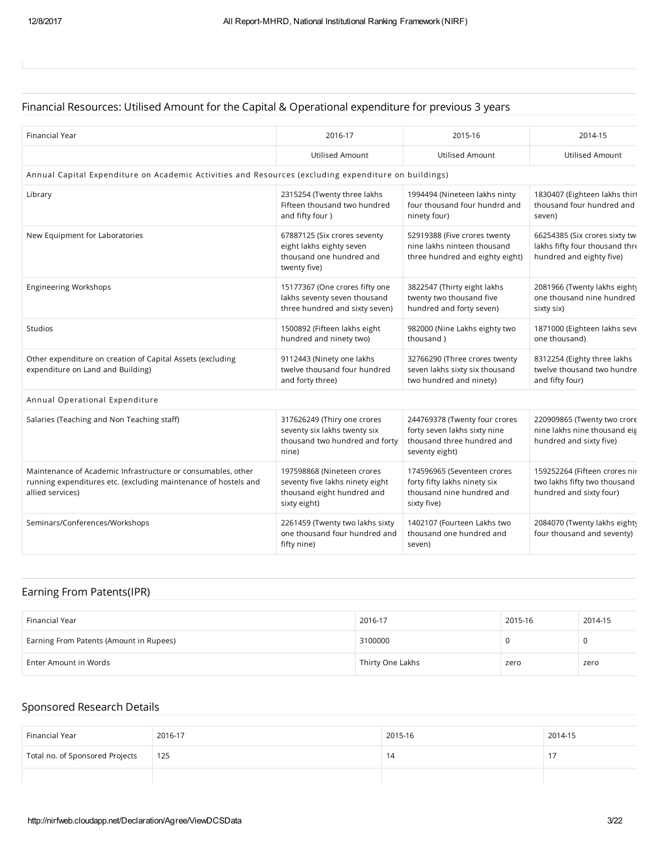### Financial Resources: Utilised Amount for the Capital & Operational expenditure for previous 3 years

| Financial Year                                                                                                                                      | 2016-17                                                                                                     | 2015-16                                                                                                       | 2014-15                                                                                     |
|-----------------------------------------------------------------------------------------------------------------------------------------------------|-------------------------------------------------------------------------------------------------------------|---------------------------------------------------------------------------------------------------------------|---------------------------------------------------------------------------------------------|
|                                                                                                                                                     | Utilised Amount                                                                                             | Utilised Amount                                                                                               | <b>Utilised Amount</b>                                                                      |
| Annual Capital Expenditure on Academic Activities and Resources (excluding expenditure on buildings)                                                |                                                                                                             |                                                                                                               |                                                                                             |
|                                                                                                                                                     |                                                                                                             |                                                                                                               |                                                                                             |
| Library                                                                                                                                             | 2315254 (Twenty three lakhs<br>Fifteen thousand two hundred<br>and fifty four )                             | 1994494 (Nineteen lakhs ninty<br>four thousand four hundrd and<br>ninety four)                                | 1830407 (Eighteen lakhs thirt<br>thousand four hundred and<br>seven)                        |
| New Equipment for Laboratories                                                                                                                      | 67887125 (Six crores seventy<br>eight lakhs eighty seven<br>thousand one hundred and<br>twenty five)        | 52919388 (Five crores twenty<br>nine lakhs ninteen thousand<br>three hundred and eighty eight)                | 66254385 (Six crores sixty tw<br>lakhs fifty four thousand thre<br>hundred and eighty five) |
| <b>Engineering Workshops</b>                                                                                                                        | 15177367 (One crores fifty one<br>lakhs seventy seven thousand<br>three hundred and sixty seven)            | 3822547 (Thirty eight lakhs<br>twenty two thousand five<br>hundred and forty seven)                           | 2081966 (Twenty lakhs eight)<br>one thousand nine hundred<br>sixty six)                     |
| Studios                                                                                                                                             | 1500892 (Fifteen lakhs eight<br>hundred and ninety two)                                                     | 982000 (Nine Lakhs eighty two<br>thousand)                                                                    | 1871000 (Eighteen lakhs seve<br>one thousand)                                               |
| Other expenditure on creation of Capital Assets (excluding<br>expenditure on Land and Building)                                                     | 9112443 (Ninety one lakhs<br>twelve thousand four hundred<br>and forty three)                               | 32766290 (Three crores twenty<br>seven lakhs sixty six thousand<br>two hundred and ninety)                    | 8312254 (Eighty three lakhs<br>twelve thousand two hundre<br>and fifty four)                |
| Annual Operational Expenditure                                                                                                                      |                                                                                                             |                                                                                                               |                                                                                             |
| Salaries (Teaching and Non Teaching staff)                                                                                                          | 317626249 (Thiry one crores<br>seventy six lakhs twenty six<br>thousand two hundred and forty<br>nine)      | 244769378 (Twenty four crores<br>forty seven lakhs sixty nine<br>thousand three hundred and<br>seventy eight) | 220909865 (Twenty two crore<br>nine lakhs nine thousand eig<br>hundred and sixty five)      |
| Maintenance of Academic Infrastructure or consumables, other<br>running expenditures etc. (excluding maintenance of hostels and<br>allied services) | 197598868 (Nineteen crores<br>seventy five lakhs ninety eight<br>thousand eight hundred and<br>sixty eight) | 174596965 (Seventeen crores<br>forty fifty lakhs ninety six<br>thousand nine hundred and<br>sixty five)       | 159252264 (Fifteen crores niı<br>two lakhs fifty two thousand<br>hundred and sixty four)    |
| Seminars/Conferences/Workshops                                                                                                                      | 2261459 (Twenty two lakhs sixty<br>one thousand four hundred and<br>fifty nine)                             | 1402107 (Fourteen Lakhs two<br>thousand one hundred and<br>seven)                                             | 2084070 (Twenty lakhs eight)<br>four thousand and seventy)                                  |

### Earning From Patents(IPR)

| Financial Year                          | 2016-17          | 2015-16 | 2014-15 |
|-----------------------------------------|------------------|---------|---------|
| Earning From Patents (Amount in Rupees) | 3100000          |         |         |
| Enter Amount in Words                   | Thirty One Lakhs | zero    | zero    |

### Sponsored Research Details

| Financial Year                  | 2016-17 | 2015-16 | 2014-15 |
|---------------------------------|---------|---------|---------|
| Total no. of Sponsored Projects | 125     |         |         |
|                                 |         |         |         |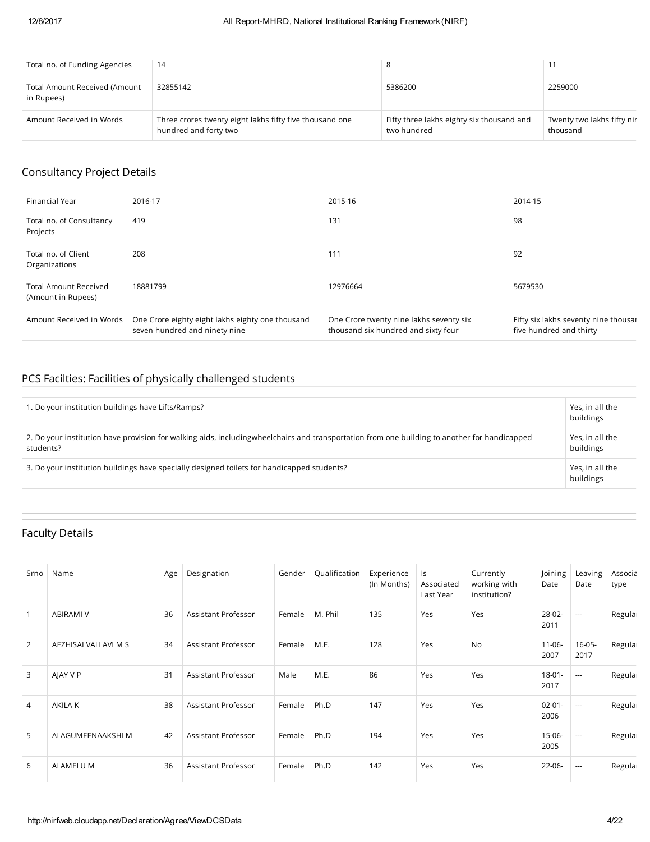| Total no. of Funding Agencies                      | 14                                                                               |                                                          |                                        |
|----------------------------------------------------|----------------------------------------------------------------------------------|----------------------------------------------------------|----------------------------------------|
| <b>Total Amount Received (Amount</b><br>in Rupees) | 32855142                                                                         | 5386200                                                  | 2259000                                |
| Amount Received in Words                           | Three crores twenty eight lakhs fifty five thousand one<br>hundred and forty two | Fifty three lakhs eighty six thousand and<br>two hundred | Twenty two lakhs fifty nir<br>thousand |

### Consultancy Project Details

| Financial Year                                     | 2016-17                                                                           | 2015-16                                                                        | 2014-15                                                         |
|----------------------------------------------------|-----------------------------------------------------------------------------------|--------------------------------------------------------------------------------|-----------------------------------------------------------------|
| Total no. of Consultancy<br>Projects               | 419                                                                               | 131                                                                            | 98                                                              |
| Total no. of Client<br>Organizations               | 208                                                                               | 111                                                                            | 92                                                              |
| <b>Total Amount Received</b><br>(Amount in Rupees) | 18881799                                                                          | 12976664                                                                       | 5679530                                                         |
| Amount Received in Words                           | One Crore eighty eight lakhs eighty one thousand<br>seven hundred and ninety nine | One Crore twenty nine lakhs seventy six<br>thousand six hundred and sixty four | Fifty six lakhs seventy nine thousar<br>five hundred and thirty |

### PCS Facilties: Facilities of physically challenged students

| 1. Do your institution buildings have Lifts/Ramps?                                                                                                        | Yes, in all the<br>buildings |
|-----------------------------------------------------------------------------------------------------------------------------------------------------------|------------------------------|
| 2. Do your institution have provision for walking aids, includingwheelchairs and transportation from one building to another for handicapped<br>students? | Yes, in all the<br>buildings |
| 3. Do your institution buildings have specially designed toilets for handicapped students?                                                                | Yes, in all the<br>buildings |

### Faculty Details

| Srno           | Name                 | Age | Designation         | Gender | Qualification | Experience<br>(In Months) | ls<br>Associated<br>Last Year | Currently<br>working with<br>institution? | Joining<br>Date     | Leaving<br>Date          | Associa<br>type |
|----------------|----------------------|-----|---------------------|--------|---------------|---------------------------|-------------------------------|-------------------------------------------|---------------------|--------------------------|-----------------|
|                | <b>ABIRAMI V</b>     | 36  | Assistant Professor | Female | M. Phil       | 135                       | Yes                           | Yes                                       | $28 - 02 -$<br>2011 | $\hspace{0.05cm} \cdots$ | Regula          |
| 2              | AEZHISAI VALLAVI M S | 34  | Assistant Professor | Female | M.E.          | 128                       | Yes                           | No                                        | $11 - 06 -$<br>2007 | $16 - 05 -$<br>2017      | Regula          |
| 3              | AIAY V P             | 31  | Assistant Professor | Male   | M.E.          | 86                        | Yes                           | Yes                                       | $18 - 01 -$<br>2017 | $\hspace{0.05cm} \cdots$ | Regula          |
| $\overline{4}$ | <b>AKILA K</b>       | 38  | Assistant Professor | Female | Ph.D          | 147                       | Yes                           | Yes                                       | $02 - 01 -$<br>2006 | $\hspace{0.05cm} \cdots$ | Regula          |
| 5              | ALAGUMEENAAKSHI M    | 42  | Assistant Professor | Female | Ph.D          | 194                       | Yes                           | Yes                                       | $15 - 06 -$<br>2005 | $\hspace{0.05cm} \cdots$ | Regula          |
| 6              | <b>ALAMELU M</b>     | 36  | Assistant Professor | Female | Ph.D          | 142                       | Yes                           | Yes                                       | $22 - 06 -$         | $\overline{\phantom{a}}$ | Regula          |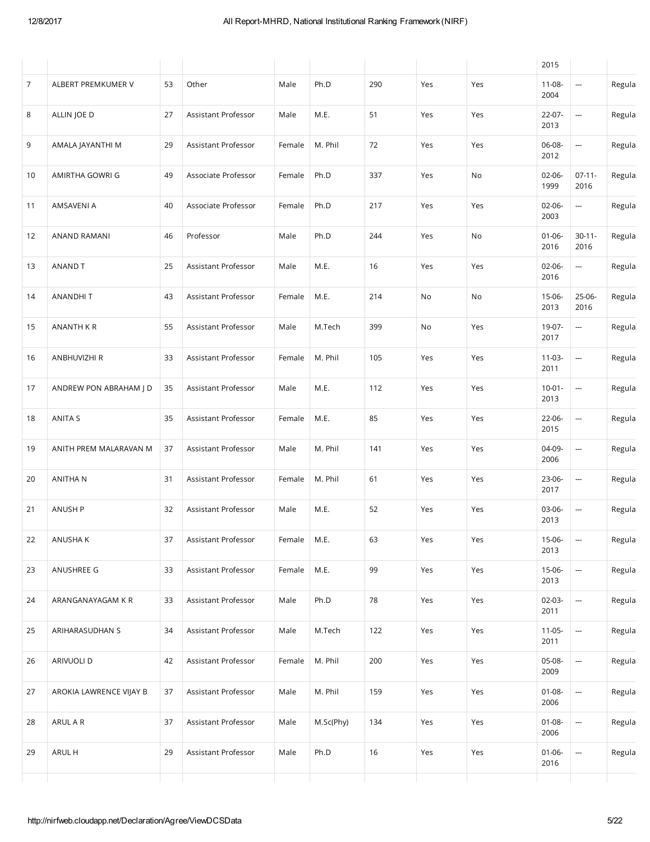|    |                         |    |                     |        |           |     |     |     | 2015                |                          |        |
|----|-------------------------|----|---------------------|--------|-----------|-----|-----|-----|---------------------|--------------------------|--------|
| 7  | ALBERT PREMKUMER V      | 53 | Other               | Male   | Ph.D      | 290 | Yes | Yes | $11 - 08 -$<br>2004 | <u></u>                  | Regula |
| 8  | ALLIN JOE D             | 27 | Assistant Professor | Male   | M.E.      | 51  | Yes | Yes | $22 - 07 -$<br>2013 | ---                      | Regula |
| 9  | AMALA JAYANTHI M        | 29 | Assistant Professor | Female | M. Phil   | 72  | Yes | Yes | 06-08-<br>2012      | ---                      | Regula |
| 10 | AMIRTHA GOWRI G         | 49 | Associate Professor | Female | Ph.D      | 337 | Yes | No  | $02-06-$<br>1999    | $07-11-$<br>2016         | Regula |
| 11 | AMSAVENI A              | 40 | Associate Professor | Female | Ph.D      | 217 | Yes | Yes | $02 - 06 -$<br>2003 | ---                      | Regula |
| 12 | ANAND RAMANI            | 46 | Professor           | Male   | Ph.D      | 244 | Yes | No  | $01 - 06 -$<br>2016 | $30 - 11 -$<br>2016      | Regula |
| 13 | ANAND T                 | 25 | Assistant Professor | Male   | M.E.      | 16  | Yes | Yes | $02-06-$<br>2016    | ---                      | Regula |
| 14 | ANANDHIT                | 43 | Assistant Professor | Female | M.E.      | 214 | No  | No  | 15-06-<br>2013      | 25-06-<br>2016           | Regula |
| 15 | <b>ANANTH K R</b>       | 55 | Assistant Professor | Male   | M.Tech    | 399 | No  | Yes | 19-07-<br>2017      | ---                      | Regula |
| 16 | ANBHUVIZHI R            | 33 | Assistant Professor | Female | M. Phil   | 105 | Yes | Yes | $11-03-$<br>2011    | $\sim$                   | Regula |
| 17 | ANDREW PON ABRAHAM J D  | 35 | Assistant Professor | Male   | M.E.      | 112 | Yes | Yes | $10 - 01 -$<br>2013 | ---                      | Regula |
| 18 | ANITA S                 | 35 | Assistant Professor | Female | M.E.      | 85  | Yes | Yes | $22-06-$<br>2015    | $\sim$                   | Regula |
| 19 | ANITH PREM MALARAVAN M  | 37 | Assistant Professor | Male   | M. Phil   | 141 | Yes | Yes | 04-09-<br>2006      | ---                      | Regula |
| 20 | <b>ANITHAN</b>          | 31 | Assistant Professor | Female | M. Phil   | 61  | Yes | Yes | 23-06-<br>2017      | $\sim$                   | Regula |
| 21 | <b>ANUSH P</b>          | 32 | Assistant Professor | Male   | M.E.      | 52  | Yes | Yes | 03-06-<br>2013      | $\sim$                   | Regula |
| 22 | ANUSHA K                | 37 | Assistant Professor | Female | M.E.      | 63  | Yes | Yes | 15-06-<br>2013      | ---                      | Regula |
| 23 | ANUSHREE G              | 33 | Assistant Professor | Female | M.E.      | 99  | Yes | Yes | 15-06-<br>2013      | --                       | Regula |
| 24 | ARANGANAYAGAM K R       | 33 | Assistant Professor | Male   | Ph.D      | 78  | Yes | Yes | 02-03-<br>2011      | --                       | Regula |
| 25 | ARIHARASUDHAN S         | 34 | Assistant Professor | Male   | M.Tech    | 122 | Yes | Yes | $11-05-$<br>2011    | --                       | Regula |
| 26 | ARIVUOLI D              | 42 | Assistant Professor | Female | M. Phil   | 200 | Yes | Yes | 05-08-<br>2009      | --                       | Regula |
| 27 | AROKIA LAWRENCE VIJAY B | 37 | Assistant Professor | Male   | M. Phil   | 159 | Yes | Yes | $01 - 08 -$<br>2006 | $\overline{\phantom{a}}$ | Regula |
| 28 | ARUL A R                | 37 | Assistant Professor | Male   | M.Sc(Phy) | 134 | Yes | Yes | $01 - 08 -$<br>2006 | --                       | Regula |
| 29 | ARUL H                  | 29 | Assistant Professor | Male   | Ph.D      | 16  | Yes | Yes | $01 - 06 -$<br>2016 | --                       | Regula |
|    |                         |    |                     |        |           |     |     |     |                     |                          |        |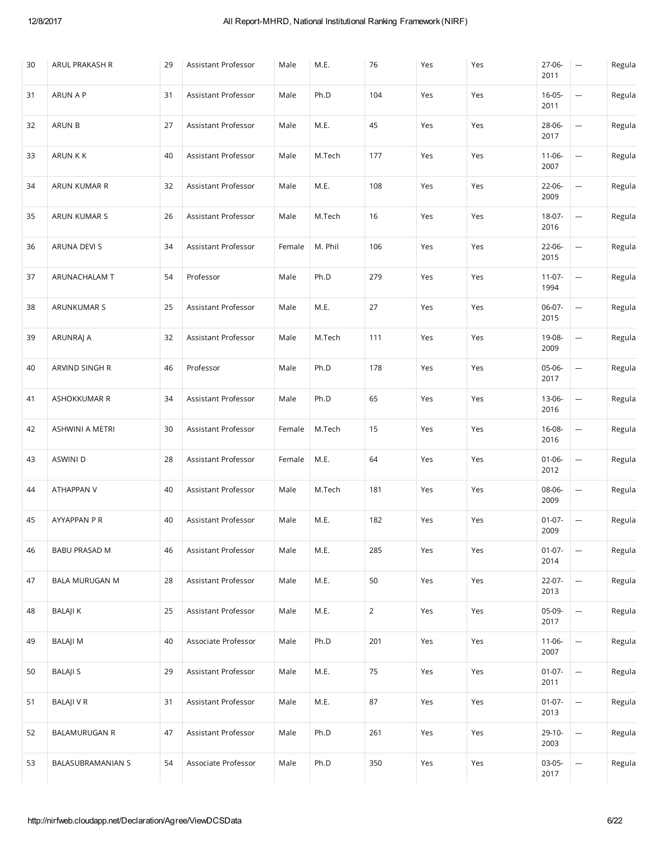| 30 | ARUL PRAKASH R        | 29 | Assistant Professor | Male   | M.E.    | 76             | Yes | Yes | 27-06-<br>2011      | $\hspace{0.05cm} \cdots$                   | Regula |
|----|-----------------------|----|---------------------|--------|---------|----------------|-----|-----|---------------------|--------------------------------------------|--------|
| 31 | ARUN A P              | 31 | Assistant Professor | Male   | Ph.D    | 104            | Yes | Yes | $16 - 05 -$<br>2011 | --                                         | Regula |
| 32 | ARUN B                | 27 | Assistant Professor | Male   | M.E.    | 45             | Yes | Yes | 28-06-<br>2017      | $\overline{\phantom{a}}$                   | Regula |
| 33 | ARUN K K              | 40 | Assistant Professor | Male   | M.Tech  | 177            | Yes | Yes | $11-06-$<br>2007    | --                                         | Regula |
| 34 | ARUN KUMAR R          | 32 | Assistant Professor | Male   | M.E.    | 108            | Yes | Yes | 22-06-<br>2009      | $\frac{1}{2}$                              | Regula |
| 35 | ARUN KUMAR S          | 26 | Assistant Professor | Male   | M.Tech  | 16             | Yes | Yes | 18-07-<br>2016      | --                                         | Regula |
| 36 | ARUNA DEVI S          | 34 | Assistant Professor | Female | M. Phil | 106            | Yes | Yes | 22-06-<br>2015      | $\overline{\phantom{a}}$                   | Regula |
| 37 | ARUNACHALAM T         | 54 | Professor           | Male   | Ph.D    | 279            | Yes | Yes | $11-07-$<br>1994    | --                                         | Regula |
| 38 | ARUNKUMAR S           | 25 | Assistant Professor | Male   | M.E.    | 27             | Yes | Yes | 06-07-<br>2015      | --                                         | Regula |
| 39 | ARUNRAJ A             | 32 | Assistant Professor | Male   | M.Tech  | 111            | Yes | Yes | 19-08-<br>2009      | --                                         | Regula |
| 40 | ARVIND SINGH R        | 46 | Professor           | Male   | Ph.D    | 178            | Yes | Yes | 05-06-<br>2017      |                                            | Regula |
| 41 | ASHOKKUMAR R          | 34 | Assistant Professor | Male   | Ph.D    | 65             | Yes | Yes | 13-06-<br>2016      | --                                         | Regula |
| 42 | ASHWINI A METRI       | 30 | Assistant Professor | Female | M.Tech  | 15             | Yes | Yes | 16-08-<br>2016      | $\overline{\phantom{a}}$                   | Regula |
| 43 | <b>ASWINI D</b>       | 28 | Assistant Professor | Female | M.E.    | 64             | Yes | Yes | $01 - 06 -$<br>2012 | --                                         | Regula |
| 44 | ATHAPPAN V            | 40 | Assistant Professor | Male   | M.Tech  | 181            | Yes | Yes | 08-06-<br>2009      | --                                         | Regula |
| 45 | AYYAPPAN P R          | 40 | Assistant Professor | Male   | M.E.    | 182            | Yes | Yes | $01-07-$<br>2009    | $\overline{\phantom{a}}$                   | Regula |
| 46 | <b>BABU PRASAD M</b>  | 46 | Assistant Professor | Male   | M.E.    | 285            | Yes | Yes | $01-07-$<br>2014    | --                                         | Regula |
| 47 | <b>BALA MURUGAN M</b> | 28 | Assistant Professor | Male   | M.E.    | 50             | Yes | Yes | 22-07-<br>2013      | $\frac{1}{2} \left( \frac{1}{2} \right)^2$ | Regula |
| 48 | <b>BALAJI K</b>       | 25 | Assistant Professor | Male   | M.E.    | $\overline{2}$ | Yes | Yes | 05-09-<br>2017      | $\overline{\phantom{a}}$                   | Regula |
| 49 | BALAJI M              | 40 | Associate Professor | Male   | Ph.D    | 201            | Yes | Yes | $11-06-$<br>2007    | $\overline{\phantom{a}}$                   | Regula |
| 50 | <b>BALAJI S</b>       | 29 | Assistant Professor | Male   | M.E.    | 75             | Yes | Yes | $01-07-$<br>2011    | $\frac{1}{2} \left( \frac{1}{2} \right)^2$ | Regula |
| 51 | <b>BALAJI V R</b>     | 31 | Assistant Professor | Male   | M.E.    | 87             | Yes | Yes | $01-07-$<br>2013    | ---                                        | Regula |
| 52 | <b>BALAMURUGAN R</b>  | 47 | Assistant Professor | Male   | Ph.D    | 261            | Yes | Yes | $29-10-$<br>2003    | $\overline{\phantom{a}}$                   | Regula |
| 53 | BALASUBRAMANIAN S     | 54 | Associate Professor | Male   | Ph.D    | 350            | Yes | Yes | 03-05-<br>2017      | $\overline{\phantom{a}}$                   | Regula |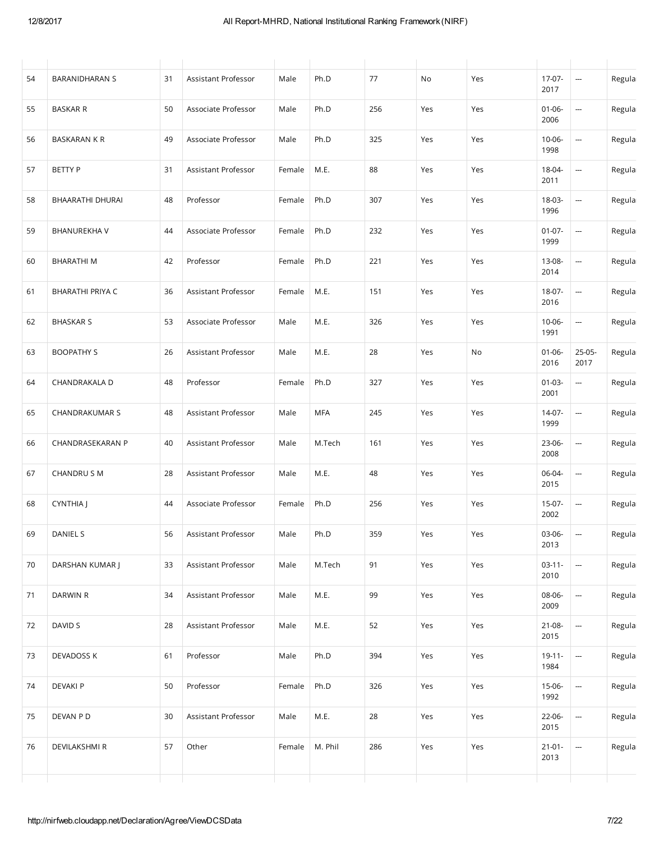| 54 | <b>BARANIDHARAN S</b>   | 31 | Assistant Professor | Male   | Ph.D    | 77  | No  | Yes | 17-07-<br>2017      | <b></b>                                    | Regula |
|----|-------------------------|----|---------------------|--------|---------|-----|-----|-----|---------------------|--------------------------------------------|--------|
| 55 | <b>BASKAR R</b>         | 50 | Associate Professor | Male   | Ph.D    | 256 | Yes | Yes | $01 - 06 -$<br>2006 | <b></b>                                    | Regula |
| 56 | <b>BASKARAN K R</b>     | 49 | Associate Professor | Male   | Ph.D    | 325 | Yes | Yes | $10 - 06 -$<br>1998 | ÷,                                         | Regula |
| 57 | <b>BETTY P</b>          | 31 | Assistant Professor | Female | M.E.    | 88  | Yes | Yes | 18-04-<br>2011      | $\overline{\phantom{a}}$                   | Regula |
| 58 | BHAARATHI DHURAI        | 48 | Professor           | Female | Ph.D    | 307 | Yes | Yes | 18-03-<br>1996      | <b></b>                                    | Regula |
| 59 | <b>BHANUREKHAV</b>      | 44 | Associate Professor | Female | Ph.D    | 232 | Yes | Yes | $01-07-$<br>1999    | <b></b>                                    | Regula |
| 60 | <b>BHARATHIM</b>        | 42 | Professor           | Female | Ph.D    | 221 | Yes | Yes | 13-08-<br>2014      | $\overline{\phantom{a}}$                   | Regula |
| 61 | <b>BHARATHI PRIYA C</b> | 36 | Assistant Professor | Female | M.E.    | 151 | Yes | Yes | 18-07-<br>2016      | <b></b>                                    | Regula |
| 62 | <b>BHASKAR S</b>        | 53 | Associate Professor | Male   | M.E.    | 326 | Yes | Yes | $10 - 06 -$<br>1991 | $\hspace{0.05cm}\ldots$                    | Regula |
| 63 | <b>BOOPATHY S</b>       | 26 | Assistant Professor | Male   | M.E.    | 28  | Yes | No  | $01 - 06 -$<br>2016 | 25-05-<br>2017                             | Regula |
| 64 | CHANDRAKALA D           | 48 | Professor           | Female | Ph.D    | 327 | Yes | Yes | $01-03-$<br>2001    | $\overline{\phantom{a}}$                   | Regula |
| 65 | CHANDRAKUMAR S          | 48 | Assistant Professor | Male   | MFA     | 245 | Yes | Yes | $14-07-$<br>1999    | $\overline{\phantom{a}}$                   | Regula |
| 66 | CHANDRASEKARAN P        | 40 | Assistant Professor | Male   | M.Tech  | 161 | Yes | Yes | 23-06-<br>2008      | $\overline{\phantom{a}}$                   | Regula |
| 67 | CHANDRU S M             | 28 | Assistant Professor | Male   | M.E.    | 48  | Yes | Yes | 06-04-<br>2015      | $\overline{\phantom{a}}$                   | Regula |
| 68 | CYNTHIA J               | 44 | Associate Professor | Female | Ph.D    | 256 | Yes | Yes | $15-07-$<br>2002    | $\hspace{0.05cm} \cdots$                   | Regula |
| 69 | DANIEL S                | 56 | Assistant Professor | Male   | Ph.D    | 359 | Yes | Yes | 03-06-<br>2013      | $\overline{\phantom{a}}$                   | Regula |
| 70 | DARSHAN KUMAR J         | 33 | Assistant Professor | Male   | M.Tech  | 91  | Yes | Yes | $03-11-$<br>2010    | $\overline{\phantom{a}}$                   | Regula |
| 71 | DARWIN R                | 34 | Assistant Professor | Male   | M.E.    | 99  | Yes | Yes | 08-06-<br>2009      | $\overline{\phantom{a}}$                   | Regula |
| 72 | DAVID S                 | 28 | Assistant Professor | Male   | M.E.    | 52  | Yes | Yes | 21-08-<br>2015      | $\overline{\phantom{a}}$                   | Regula |
| 73 | DEVADOSS K              | 61 | Professor           | Male   | Ph.D    | 394 | Yes | Yes | $19 - 11 -$<br>1984 | $\overline{a}$                             | Regula |
| 74 | <b>DEVAKI P</b>         | 50 | Professor           | Female | Ph.D    | 326 | Yes | Yes | 15-06-<br>1992      | $\frac{1}{2} \left( \frac{1}{2} \right)^2$ | Regula |
| 75 | DEVAN P D               | 30 | Assistant Professor | Male   | M.E.    | 28  | Yes | Yes | 22-06-<br>2015      | $\frac{1}{2} \left( \frac{1}{2} \right)^2$ | Regula |
| 76 | DEVILAKSHMI R           | 57 | Other               | Female | M. Phil | 286 | Yes | Yes | $21 - 01 -$<br>2013 | --                                         | Regula |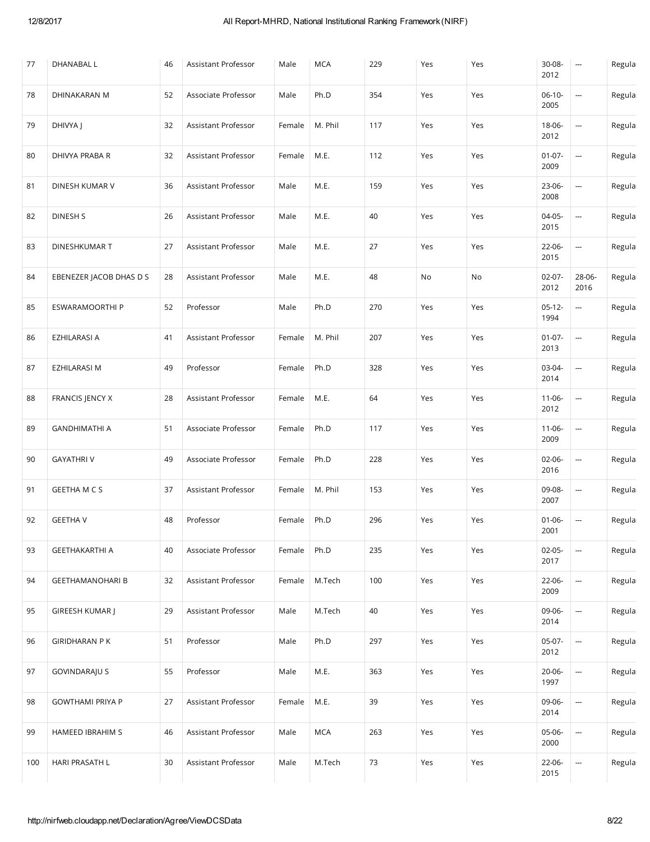| 77  | DHANABAL L              | 46 | Assistant Professor | Male   | <b>MCA</b> | 229 | Yes | Yes | 30-08-<br>2012      | $\overline{\phantom{a}}$ | Regula |
|-----|-------------------------|----|---------------------|--------|------------|-----|-----|-----|---------------------|--------------------------|--------|
| 78  | DHINAKARAN M            | 52 | Associate Professor | Male   | Ph.D       | 354 | Yes | Yes | $06-10-$<br>2005    | --                       | Regula |
| 79  | DHIVYA                  | 32 | Assistant Professor | Female | M. Phil    | 117 | Yes | Yes | 18-06-<br>2012      | <b></b>                  | Regula |
| 80  | DHIVYA PRABA R          | 32 | Assistant Professor | Female | M.E.       | 112 | Yes | Yes | $01-07-$<br>2009    | --                       | Regula |
| 81  | DINESH KUMAR V          | 36 | Assistant Professor | Male   | M.E.       | 159 | Yes | Yes | 23-06-<br>2008      | --                       | Regula |
| 82  | DINESH S                | 26 | Assistant Professor | Male   | M.E.       | 40  | Yes | Yes | 04-05-<br>2015      | $\overline{\phantom{a}}$ | Regula |
| 83  | DINESHKUMAR T           | 27 | Assistant Professor | Male   | M.E.       | 27  | Yes | Yes | 22-06-<br>2015      | $\overline{\phantom{a}}$ | Regula |
| 84  | EBENEZER JACOB DHAS D S | 28 | Assistant Professor | Male   | M.E.       | 48  | No  | No  | $02 - 07 -$<br>2012 | 28-06-<br>2016           | Regula |
| 85  | ESWARAMOORTHI P         | 52 | Professor           | Male   | Ph.D       | 270 | Yes | Yes | $05-12-$<br>1994    | --                       | Regula |
| 86  | EZHILARASI A            | 41 | Assistant Professor | Female | M. Phil    | 207 | Yes | Yes | $01-07-$<br>2013    | $\overline{\phantom{a}}$ | Regula |
| 87  | EZHILARASI M            | 49 | Professor           | Female | Ph.D       | 328 | Yes | Yes | 03-04-<br>2014      |                          | Regula |
| 88  | FRANCIS JENCY X         | 28 | Assistant Professor | Female | M.E.       | 64  | Yes | Yes | $11-06-$<br>2012    | --                       | Regula |
| 89  | <b>GANDHIMATHI A</b>    | 51 | Associate Professor | Female | Ph.D       | 117 | Yes | Yes | $11 - 06 -$<br>2009 | $\overline{a}$           | Regula |
| 90  | <b>GAYATHRIV</b>        | 49 | Associate Professor | Female | Ph.D       | 228 | Yes | Yes | $02 - 06 -$<br>2016 | --                       | Regula |
| 91  | <b>GEETHA M C S</b>     | 37 | Assistant Professor | Female | M. Phil    | 153 | Yes | Yes | 09-08-<br>2007      | <u></u>                  | Regula |
| 92  | <b>GEETHA V</b>         | 48 | Professor           | Female | Ph.D       | 296 | Yes | Yes | $01 - 06 -$<br>2001 | $\hspace{0.05cm} \cdots$ | Regula |
| 93  | <b>GEETHAKARTHI A</b>   | 40 | Associate Professor | Female | Ph.D       | 235 | Yes | Yes | $02 - 05 -$<br>2017 | --                       | Regula |
| 94  | <b>GEETHAMANOHARI B</b> | 32 | Assistant Professor | Female | M.Tech     | 100 | Yes | Yes | 22-06-<br>2009      | $\overline{\phantom{a}}$ | Regula |
| 95  | <b>GIREESH KUMAR  </b>  | 29 | Assistant Professor | Male   | M.Tech     | 40  | Yes | Yes | 09-06-<br>2014      | $\overline{\phantom{a}}$ | Regula |
| 96  | <b>GIRIDHARAN PK</b>    | 51 | Professor           | Male   | Ph.D       | 297 | Yes | Yes | 05-07-<br>2012      | $\overline{\phantom{a}}$ | Regula |
| 97  | <b>GOVINDARAJU S</b>    | 55 | Professor           | Male   | M.E.       | 363 | Yes | Yes | $20 - 06 -$<br>1997 | $\overline{\phantom{a}}$ | Regula |
| 98  | <b>GOWTHAMI PRIYA P</b> | 27 | Assistant Professor | Female | M.E.       | 39  | Yes | Yes | 09-06-<br>2014      | --                       | Regula |
| 99  | HAMEED IBRAHIM S        | 46 | Assistant Professor | Male   | <b>MCA</b> | 263 | Yes | Yes | 05-06-<br>2000      |                          | Regula |
| 100 | HARI PRASATH L          | 30 | Assistant Professor | Male   | M.Tech     | 73  | Yes | Yes | 22-06-<br>2015      | $\overline{\phantom{a}}$ | Regula |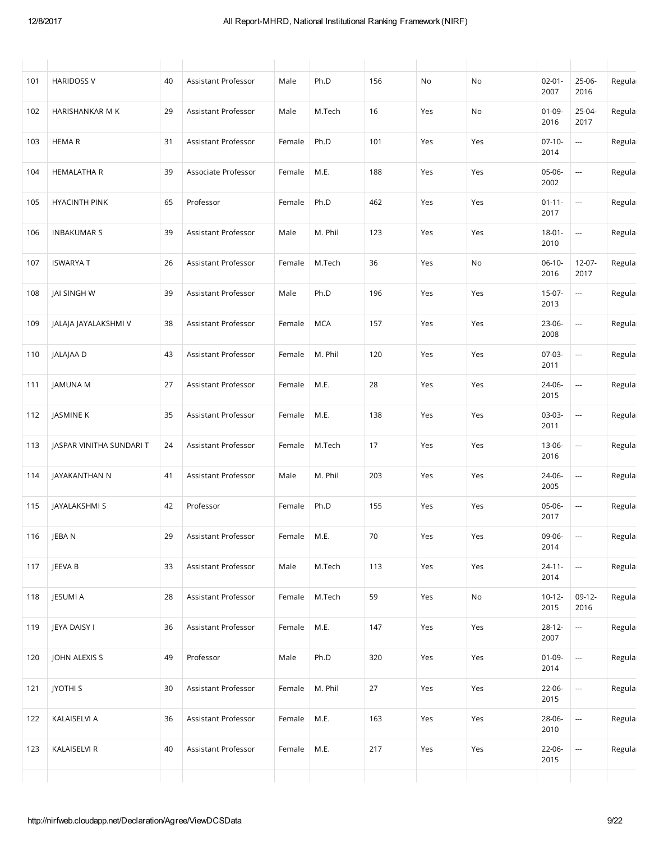| 101 | <b>HARIDOSS V</b>        | 40 | Assistant Professor        | Male   | Ph.D       | 156 | No  | No                           | $02 - 01 -$<br>2007 | $25-06-$<br>2016                           | Regula |
|-----|--------------------------|----|----------------------------|--------|------------|-----|-----|------------------------------|---------------------|--------------------------------------------|--------|
| 102 | HARISHANKAR M K          | 29 | Assistant Professor        | Male   | M.Tech     | 16  | Yes | No                           | $01-09-$<br>2016    | 25-04-<br>2017                             | Regula |
| 103 | <b>HEMAR</b>             | 31 | Assistant Professor        | Female | Ph.D       | 101 | Yes | Yes                          | $07-10-$<br>2014    | $\overline{\phantom{a}}$                   | Regula |
| 104 | <b>HEMALATHA R</b>       | 39 | Associate Professor        | Female | M.E.       | 188 | Yes | Yes                          | 05-06-<br>2002      | --                                         | Regula |
| 105 | <b>HYACINTH PINK</b>     | 65 | Professor                  | Female | Ph.D       | 462 | Yes | Yes                          | $01 - 11 -$<br>2017 | ---                                        | Regula |
| 106 | <b>INBAKUMAR S</b>       | 39 | Assistant Professor        | Male   | M. Phil    | 123 | Yes | Yes                          | $18 - 01 -$<br>2010 |                                            | Regula |
| 107 | <b>ISWARYA T</b>         | 26 | Assistant Professor        | Female | M.Tech     | 36  | Yes | No                           | $06-10-$<br>2016    | $12-07-$<br>2017                           | Regula |
| 108 | JAI SINGH W              | 39 | Assistant Professor        | Male   | Ph.D       | 196 | Yes | Yes                          | $15-07-$<br>2013    | <b></b>                                    | Regula |
| 109 | JALAJA JAYALAKSHMI V     | 38 | Assistant Professor        | Female | <b>MCA</b> | 157 | Yes | Yes                          | 23-06-<br>2008      | ---                                        | Regula |
| 110 | JALAJAA D                | 43 | <b>Assistant Professor</b> | Female | M. Phil    | 120 | Yes | Yes                          | $07-03-$<br>2011    | <u></u>                                    | Regula |
| 111 | JAMUNA M                 | 27 | Assistant Professor        | Female | M.E.       | 28  | Yes | Yes                          | 24-06-<br>2015      | $\overline{\phantom{a}}$                   | Regula |
| 112 | JASMINE K                | 35 | Assistant Professor        | Female | M.E.       | 138 | Yes | Yes                          | 03-03-<br>2011      | ---                                        | Regula |
| 113 | JASPAR VINITHA SUNDARI T | 24 | Assistant Professor        | Female | M.Tech     | 17  | Yes | Yes                          | 13-06-<br>2016      | ---                                        | Regula |
| 114 | JAYAKANTHAN N            | 41 | Assistant Professor        | Male   | M. Phil    | 203 | Yes | Yes                          | 24-06-<br>2005      | $\overline{\phantom{a}}$                   | Regula |
| 115 | JAYALAKSHMI S            | 42 | Professor                  | Female | Ph.D       | 155 | Yes | Yes                          | 05-06-<br>2017      | $\sim$                                     | Regula |
| 116 | JEBA N                   | 29 | Assistant Professor        | Female | M.E.       | 70  | Yes | Yes                          | 09-06-<br>2014      | --                                         | Regula |
| 117 | JEEVA B                  | 33 | Assistant Professor        | Male   | M.Tech     | 113 | Yes | Yes                          | $24 - 11 -$<br>2014 | $\frac{1}{2}$                              | Regula |
| 118 | JESUMI A                 | 28 | Assistant Professor        | Female | M.Tech     | 59  | Yes | $\operatorname{\mathsf{No}}$ | $10-12-$<br>2015    | $09-12-$<br>2016                           | Regula |
| 119 | JEYA DAISY I             | 36 | Assistant Professor        | Female | M.E.       | 147 | Yes | Yes                          | $28-12-$<br>2007    | $\overline{\phantom{a}}$                   | Regula |
| 120 | JOHN ALEXIS S            | 49 | Professor                  | Male   | Ph.D       | 320 | Yes | Yes                          | $01-09-$<br>2014    | $\frac{1}{2} \left( \frac{1}{2} \right)^2$ | Regula |
| 121 | <b>JYOTHI S</b>          | 30 | Assistant Professor        | Female | M. Phil    | 27  | Yes | Yes                          | 22-06-<br>2015      | $\frac{1}{2} \left( \frac{1}{2} \right)^2$ | Regula |
| 122 | KALAISELVI A             | 36 | Assistant Professor        | Female | M.E.       | 163 | Yes | Yes                          | 28-06-<br>2010      | $\overline{\phantom{a}}$                   | Regula |
| 123 | KALAISELVI R             | 40 | Assistant Professor        | Female | M.E.       | 217 | Yes | Yes                          | 22-06-<br>2015      | $\overline{\phantom{a}}$                   | Regula |
|     |                          |    |                            |        |            |     |     |                              |                     |                                            |        |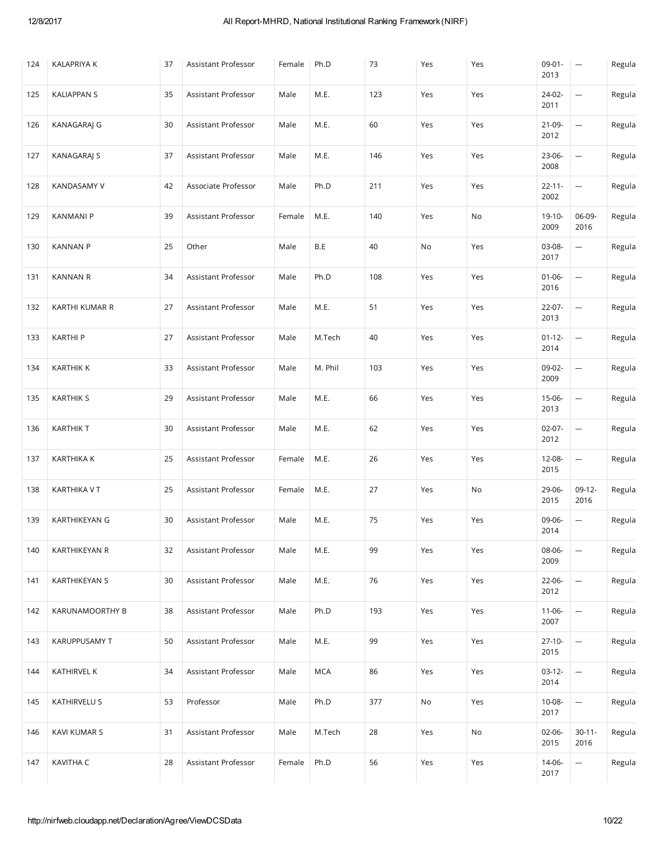| 124 | <b>KALAPRIYA K</b>   | 37 | Assistant Professor | Female | Ph.D    | 73  | Yes | Yes | $09 - 01 -$<br>2013 | $\cdots$                                   | Regula |
|-----|----------------------|----|---------------------|--------|---------|-----|-----|-----|---------------------|--------------------------------------------|--------|
| 125 | <b>KALIAPPAN S</b>   | 35 | Assistant Professor | Male   | M.E.    | 123 | Yes | Yes | 24-02-<br>2011      | $\overline{\phantom{a}}$                   | Regula |
| 126 | KANAGARAJ G          | 30 | Assistant Professor | Male   | M.E.    | 60  | Yes | Yes | 21-09-<br>2012      | --                                         | Regula |
| 127 | <b>KANAGARAJ S</b>   | 37 | Assistant Professor | Male   | M.E.    | 146 | Yes | Yes | 23-06-<br>2008      | --                                         | Regula |
| 128 | KANDASAMY V          | 42 | Associate Professor | Male   | Ph.D    | 211 | Yes | Yes | $22 - 11 -$<br>2002 | --                                         | Regula |
| 129 | <b>KANMANI P</b>     | 39 | Assistant Professor | Female | M.E.    | 140 | Yes | No  | 19-10-<br>2009      | 06-09-<br>2016                             | Regula |
| 130 | <b>KANNAN P</b>      | 25 | Other               | Male   | B.E     | 40  | No  | Yes | 03-08-<br>2017      | $\overline{\phantom{a}}$                   | Regula |
| 131 | <b>KANNAN R</b>      | 34 | Assistant Professor | Male   | Ph.D    | 108 | Yes | Yes | $01 - 06 -$<br>2016 | $\overline{\phantom{a}}$                   | Regula |
| 132 | KARTHI KUMAR R       | 27 | Assistant Professor | Male   | M.E.    | 51  | Yes | Yes | 22-07-<br>2013      | --                                         | Regula |
| 133 | <b>KARTHIP</b>       | 27 | Assistant Professor | Male   | M.Tech  | 40  | Yes | Yes | $01-12-$<br>2014    | $\overline{\phantom{a}}$                   | Regula |
| 134 | <b>KARTHIK K</b>     | 33 | Assistant Professor | Male   | M. Phil | 103 | Yes | Yes | 09-02-<br>2009      | $\overline{\phantom{a}}$                   | Regula |
| 135 | <b>KARTHIK S</b>     | 29 | Assistant Professor | Male   | M.E.    | 66  | Yes | Yes | 15-06-<br>2013      | --                                         | Regula |
| 136 | <b>KARTHIK T</b>     | 30 | Assistant Professor | Male   | M.E.    | 62  | Yes | Yes | $02 - 07 -$<br>2012 | --                                         | Regula |
| 137 | <b>KARTHIKA K</b>    | 25 | Assistant Professor | Female | M.E.    | 26  | Yes | Yes | 12-08-<br>2015      | --                                         | Regula |
| 138 | KARTHIKA V T         | 25 | Assistant Professor | Female | M.E.    | 27  | Yes | No  | 29-06-<br>2015      | $09-12-$<br>2016                           | Regula |
| 139 | KARTHIKEYAN G        | 30 | Assistant Professor | Male   | M.E.    | 75  | Yes | Yes | 09-06-<br>2014      | --                                         | Regula |
| 140 | KARTHIKEYAN R        | 32 | Assistant Professor | Male   | M.E.    | 99  | Yes | Yes | 08-06-<br>2009      | --                                         | Regula |
| 141 | <b>KARTHIKEYAN S</b> | 30 | Assistant Professor | Male   | M.E.    | 76  | Yes | Yes | 22-06-<br>2012      | --                                         | Regula |
| 142 | KARUNAMOORTHY B      | 38 | Assistant Professor | Male   | Ph.D    | 193 | Yes | Yes | $11-06-$<br>2007    |                                            | Regula |
| 143 | <b>KARUPPUSAMY T</b> | 50 | Assistant Professor | Male   | M.E.    | 99  | Yes | Yes | $27-10-$<br>2015    | ---                                        | Regula |
| 144 | KATHIRVEL K          | 34 | Assistant Professor | Male   | MCA     | 86  | Yes | Yes | $03-12-$<br>2014    | ---                                        | Regula |
| 145 | <b>KATHIRVELU S</b>  | 53 | Professor           | Male   | Ph.D    | 377 | No  | Yes | $10 - 08 -$<br>2017 | $\overline{\phantom{a}}$                   | Regula |
| 146 | KAVI KUMAR S         | 31 | Assistant Professor | Male   | M.Tech  | 28  | Yes | No  | $02 - 06 -$<br>2015 | $30 - 11 -$<br>2016                        | Regula |
| 147 | KAVITHA C            | 28 | Assistant Professor | Female | Ph.D    | 56  | Yes | Yes | 14-06-<br>2017      | $\frac{1}{2} \left( \frac{1}{2} \right)^2$ | Regula |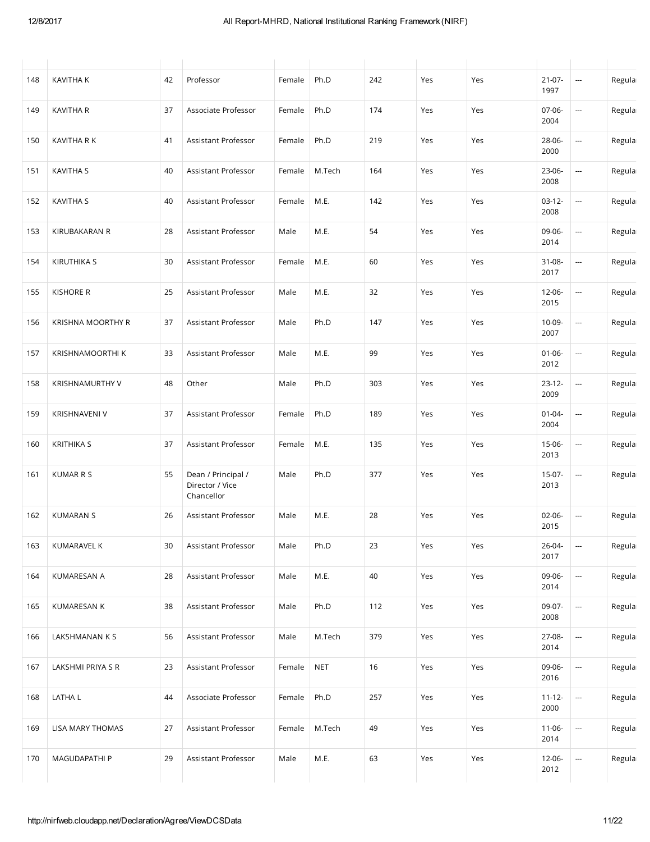| 148 | <b>KAVITHA K</b>     | 42 | Professor                                           | Female | Ph.D       | 242 | Yes | Yes | $21-07-$<br>1997    | ---                      | Regula |
|-----|----------------------|----|-----------------------------------------------------|--------|------------|-----|-----|-----|---------------------|--------------------------|--------|
| 149 | <b>KAVITHA R</b>     | 37 | Associate Professor                                 | Female | Ph.D       | 174 | Yes | Yes | 07-06-<br>2004      | ---                      | Regula |
| 150 | KAVITHA R K          | 41 | Assistant Professor                                 | Female | Ph.D       | 219 | Yes | Yes | 28-06-<br>2000      | ---                      | Regula |
| 151 | <b>KAVITHA S</b>     | 40 | Assistant Professor                                 | Female | M.Tech     | 164 | Yes | Yes | 23-06-<br>2008      | ---                      | Regula |
| 152 | <b>KAVITHA S</b>     | 40 | Assistant Professor                                 | Female | M.E.       | 142 | Yes | Yes | $03-12-$<br>2008    | ---                      | Regula |
| 153 | KIRUBAKARAN R        | 28 | Assistant Professor                                 | Male   | M.E.       | 54  | Yes | Yes | 09-06-<br>2014      | ---                      | Regula |
| 154 | <b>KIRUTHIKA S</b>   | 30 | Assistant Professor                                 | Female | M.E.       | 60  | Yes | Yes | 31-08-<br>2017      | ---                      | Regula |
| 155 | <b>KISHORE R</b>     | 25 | Assistant Professor                                 | Male   | M.E.       | 32  | Yes | Yes | 12-06-<br>2015      | ---                      | Regula |
| 156 | KRISHNA MOORTHY R    | 37 | Assistant Professor                                 | Male   | Ph.D       | 147 | Yes | Yes | 10-09-<br>2007      | ---                      | Regula |
| 157 | KRISHNAMOORTHI K     | 33 | Assistant Professor                                 | Male   | M.E.       | 99  | Yes | Yes | $01 - 06 -$<br>2012 | $\overline{\phantom{a}}$ | Regula |
| 158 | KRISHNAMURTHY V      | 48 | Other                                               | Male   | Ph.D       | 303 | Yes | Yes | $23-12-$<br>2009    | ---                      | Regula |
| 159 | <b>KRISHNAVENI V</b> | 37 | Assistant Professor                                 | Female | Ph.D       | 189 | Yes | Yes | $01 - 04 -$<br>2004 | ---                      | Regula |
| 160 | <b>KRITHIKA S</b>    | 37 | Assistant Professor                                 | Female | M.E.       | 135 | Yes | Yes | 15-06-<br>2013      | ---                      | Regula |
| 161 | <b>KUMAR R S</b>     | 55 | Dean / Principal /<br>Director / Vice<br>Chancellor | Male   | Ph.D       | 377 | Yes | Yes | 15-07-<br>2013      | ---                      | Regula |
| 162 | <b>KUMARAN S</b>     | 26 | Assistant Professor                                 | Male   | M.E.       | 28  | Yes | Yes | 02-06-<br>2015      | ---                      | Regula |
| 163 | KUMARAVEL K          | 30 | Assistant Professor                                 | Male   | Ph.D       | 23  | Yes | Yes | 26-04-<br>2017      |                          | Regula |
| 164 | KUMARESAN A          | 28 | Assistant Professor                                 | Male   | M.E.       | 40  | Yes | Yes | 09-06-<br>2014      | ---                      | Regula |
| 165 | KUMARESAN K          | 38 | Assistant Professor                                 | Male   | Ph.D       | 112 | Yes | Yes | 09-07-<br>2008      | --                       | Regula |
| 166 | LAKSHMANAN K S       | 56 | Assistant Professor                                 | Male   | M.Tech     | 379 | Yes | Yes | 27-08-<br>2014      | --                       | Regula |
| 167 | LAKSHMI PRIYA S R    | 23 | Assistant Professor                                 | Female | <b>NET</b> | 16  | Yes | Yes | 09-06-<br>2016      |                          | Regula |
| 168 | LATHA L              | 44 | Associate Professor                                 | Female | Ph.D       | 257 | Yes | Yes | $11 - 12 -$<br>2000 | --                       | Regula |
| 169 | LISA MARY THOMAS     | 27 | Assistant Professor                                 | Female | M.Tech     | 49  | Yes | Yes | $11-06-$<br>2014    | --                       | Regula |
| 170 | MAGUDAPATHI P        | 29 | Assistant Professor                                 | Male   | M.E.       | 63  | Yes | Yes | 12-06-<br>2012      | --                       | Regula |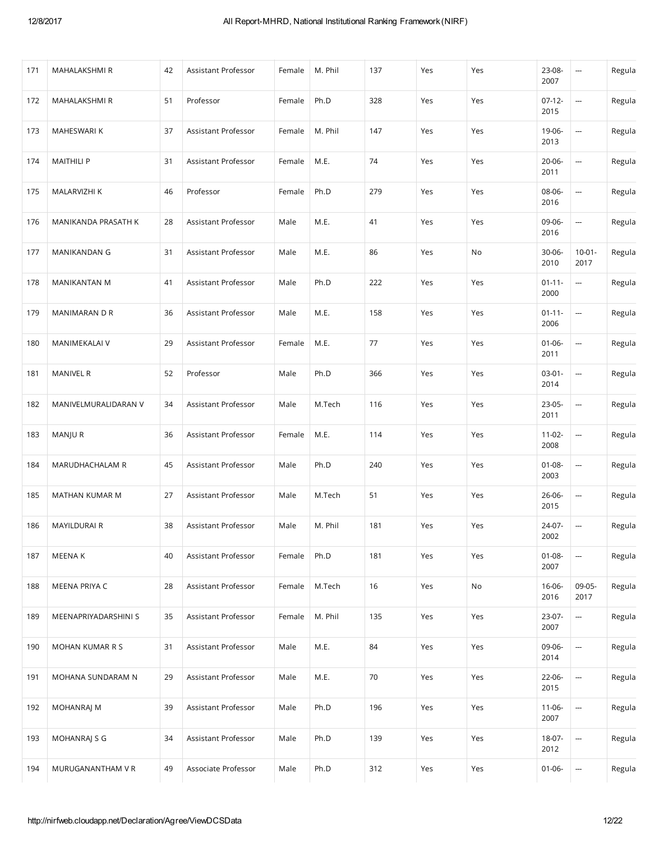| 171 | MAHALAKSHMI R        | 42 | Assistant Professor | Female | M. Phil | 137 | Yes | Yes | 23-08-<br>2007      | $\hspace{0.05cm} \cdots$ | Regula |
|-----|----------------------|----|---------------------|--------|---------|-----|-----|-----|---------------------|--------------------------|--------|
| 172 | MAHALAKSHMI R        | 51 | Professor           | Female | Ph.D    | 328 | Yes | Yes | $07-12-$<br>2015    | --                       | Regula |
| 173 | MAHESWARI K          | 37 | Assistant Professor | Female | M. Phil | 147 | Yes | Yes | 19-06-<br>2013      | --                       | Regula |
| 174 | <b>MAITHILI P</b>    | 31 | Assistant Professor | Female | M.E.    | 74  | Yes | Yes | $20 - 06 -$<br>2011 | --                       | Regula |
| 175 | MALARVIZHI K         | 46 | Professor           | Female | Ph.D    | 279 | Yes | Yes | 08-06-<br>2016      | $\overline{\phantom{a}}$ | Regula |
| 176 | MANIKANDA PRASATH K  | 28 | Assistant Professor | Male   | M.E.    | 41  | Yes | Yes | 09-06-<br>2016      | --                       | Regula |
| 177 | MANIKANDAN G         | 31 | Assistant Professor | Male   | M.E.    | 86  | Yes | No  | $30 - 06 -$<br>2010 | $10 - 01 -$<br>2017      | Regula |
| 178 | MANIKANTAN M         | 41 | Assistant Professor | Male   | Ph.D    | 222 | Yes | Yes | $01 - 11 -$<br>2000 | $\overline{\phantom{a}}$ | Regula |
| 179 | MANIMARAN D R        | 36 | Assistant Professor | Male   | M.E.    | 158 | Yes | Yes | $01 - 11 -$<br>2006 |                          | Regula |
| 180 | MANIMEKALAI V        | 29 | Assistant Professor | Female | M.E.    | 77  | Yes | Yes | $01 - 06 -$<br>2011 | <b></b>                  | Regula |
| 181 | <b>MANIVEL R</b>     | 52 | Professor           | Male   | Ph.D    | 366 | Yes | Yes | $03-01 -$<br>2014   | --                       | Regula |
| 182 | MANIVELMURALIDARAN V | 34 | Assistant Professor | Male   | M.Tech  | 116 | Yes | Yes | $23-05-$<br>2011    | --                       | Regula |
| 183 | MANJU R              | 36 | Assistant Professor | Female | M.E.    | 114 | Yes | Yes | $11-02-$<br>2008    | $\overline{\phantom{a}}$ | Regula |
| 184 | MARUDHACHALAM R      | 45 | Assistant Professor | Male   | Ph.D    | 240 | Yes | Yes | $01 - 08 -$<br>2003 | <b></b>                  | Regula |
| 185 | MATHAN KUMAR M       | 27 | Assistant Professor | Male   | M.Tech  | 51  | Yes | Yes | 26-06-<br>2015      | --                       | Regula |
| 186 | MAYILDURAI R         | 38 | Assistant Professor | Male   | M. Phil | 181 | Yes | Yes | 24-07-<br>2002      | $\overline{\phantom{a}}$ | Regula |
| 187 | MEENA K              | 40 | Assistant Professor | Female | Ph.D    | 181 | Yes | Yes | $01 - 08 -$<br>2007 |                          | Regula |
| 188 | MEENA PRIYA C        | 28 | Assistant Professor | Female | M.Tech  | 16  | Yes | No  | 16-06-<br>2016      | 09-05-<br>2017           | Regula |
| 189 | MEENAPRIYADARSHINI S | 35 | Assistant Professor | Female | M. Phil | 135 | Yes | Yes | 23-07-<br>2007      | --                       | Regula |
| 190 | MOHAN KUMAR R S      | 31 | Assistant Professor | Male   | M.E.    | 84  | Yes | Yes | 09-06-<br>2014      | $\overline{\phantom{a}}$ | Regula |
| 191 | MOHANA SUNDARAM N    | 29 | Assistant Professor | Male   | M.E.    | 70  | Yes | Yes | 22-06-<br>2015      | --                       | Regula |
| 192 | MOHANRAJ M           | 39 | Assistant Professor | Male   | Ph.D    | 196 | Yes | Yes | $11-06-$<br>2007    | $\overline{\phantom{a}}$ | Regula |
| 193 | MOHANRAJ S G         | 34 | Assistant Professor | Male   | Ph.D    | 139 | Yes | Yes | 18-07-<br>2012      | --                       | Regula |
| 194 | MURUGANANTHAM V R    | 49 | Associate Professor | Male   | Ph.D    | 312 | Yes | Yes | $01 - 06 -$         | $\overline{\phantom{a}}$ | Regula |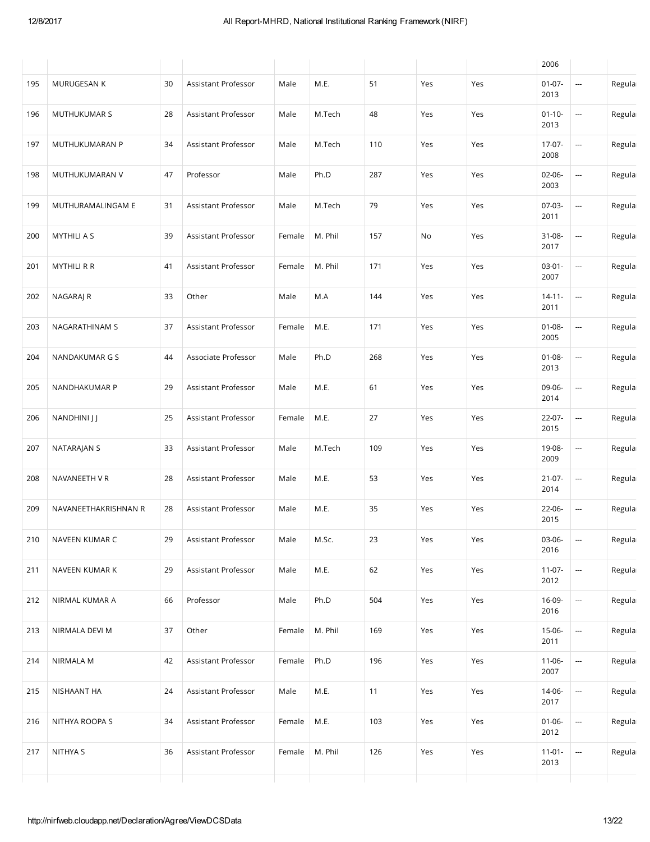|     |                      |    |                     |        |         |     |     |     | 2006                |                          |        |
|-----|----------------------|----|---------------------|--------|---------|-----|-----|-----|---------------------|--------------------------|--------|
| 195 | MURUGESAN K          | 30 | Assistant Professor | Male   | M.E.    | 51  | Yes | Yes | $01-07-$<br>2013    | $\overline{\phantom{a}}$ | Regula |
| 196 | MUTHUKUMAR S         | 28 | Assistant Professor | Male   | M.Tech  | 48  | Yes | Yes | $01-10-$<br>2013    | --                       | Regula |
| 197 | MUTHUKUMARAN P       | 34 | Assistant Professor | Male   | M.Tech  | 110 | Yes | Yes | 17-07-<br>2008      | ---                      | Regula |
| 198 | MUTHUKUMARAN V       | 47 | Professor           | Male   | Ph.D    | 287 | Yes | Yes | $02-06-$<br>2003    | --                       | Regula |
| 199 | MUTHURAMALINGAM E    | 31 | Assistant Professor | Male   | M.Tech  | 79  | Yes | Yes | $07-03-$<br>2011    |                          | Regula |
| 200 | <b>MYTHILI A S</b>   | 39 | Assistant Professor | Female | M. Phil | 157 | No  | Yes | 31-08-<br>2017      | ---                      | Regula |
| 201 | <b>MYTHILI R R</b>   | 41 | Assistant Professor | Female | M. Phil | 171 | Yes | Yes | $03-01-$<br>2007    | ---                      | Regula |
| 202 | NAGARAJ R            | 33 | Other               | Male   | M.A     | 144 | Yes | Yes | $14 - 11 -$<br>2011 | ---                      | Regula |
| 203 | NAGARATHINAM S       | 37 | Assistant Professor | Female | M.E.    | 171 | Yes | Yes | $01 - 08 -$<br>2005 | ---                      | Regula |
| 204 | NANDAKUMAR G S       | 44 | Associate Professor | Male   | Ph.D    | 268 | Yes | Yes | $01 - 08 -$<br>2013 | --                       | Regula |
| 205 | NANDHAKUMAR P        | 29 | Assistant Professor | Male   | M.E.    | 61  | Yes | Yes | 09-06-<br>2014      | ---                      | Regula |
| 206 | NANDHINI J J         | 25 | Assistant Professor | Female | M.E.    | 27  | Yes | Yes | $22-07-$<br>2015    | ---                      | Regula |
| 207 | NATARAJAN S          | 33 | Assistant Professor | Male   | M.Tech  | 109 | Yes | Yes | 19-08-<br>2009      | ---                      | Regula |
| 208 | NAVANEETH VR         | 28 | Assistant Professor | Male   | M.E.    | 53  | Yes | Yes | $21 - 07 -$<br>2014 | ---                      | Regula |
| 209 | NAVANEETHAKRISHNAN R | 28 | Assistant Professor | Male   | M.E.    | 35  | Yes | Yes | 22-06-<br>2015      | ---                      | Regula |
| 210 | NAVEEN KUMAR C       | 29 | Assistant Professor | Male   | M.Sc.   | 23  | Yes | Yes | 03-06-<br>2016      | ---                      | Regula |
| 211 | NAVEEN KUMAR K       | 29 | Assistant Professor | Male   | M.E.    | 62  | Yes | Yes | $11-07-$<br>2012    | --                       | Regula |
| 212 | NIRMAL KUMAR A       | 66 | Professor           | Male   | Ph.D    | 504 | Yes | Yes | 16-09-<br>2016      | --                       | Regula |
| 213 | NIRMALA DEVI M       | 37 | Other               | Female | M. Phil | 169 | Yes | Yes | 15-06-<br>2011      | ---                      | Regula |
| 214 | NIRMALA M            | 42 | Assistant Professor | Female | Ph.D    | 196 | Yes | Yes | 11-06-<br>2007      | ---                      | Regula |
| 215 | NISHAANT HA          | 24 | Assistant Professor | Male   | M.E.    | 11  | Yes | Yes | 14-06-<br>2017      | --                       | Regula |
| 216 | NITHYA ROOPA S       | 34 | Assistant Professor | Female | M.E.    | 103 | Yes | Yes | $01 - 06 -$<br>2012 | ---                      | Regula |
| 217 | NITHYA S             | 36 | Assistant Professor | Female | M. Phil | 126 | Yes | Yes | $11-01-$<br>2013    | ---                      | Regula |
|     |                      |    |                     |        |         |     |     |     |                     |                          |        |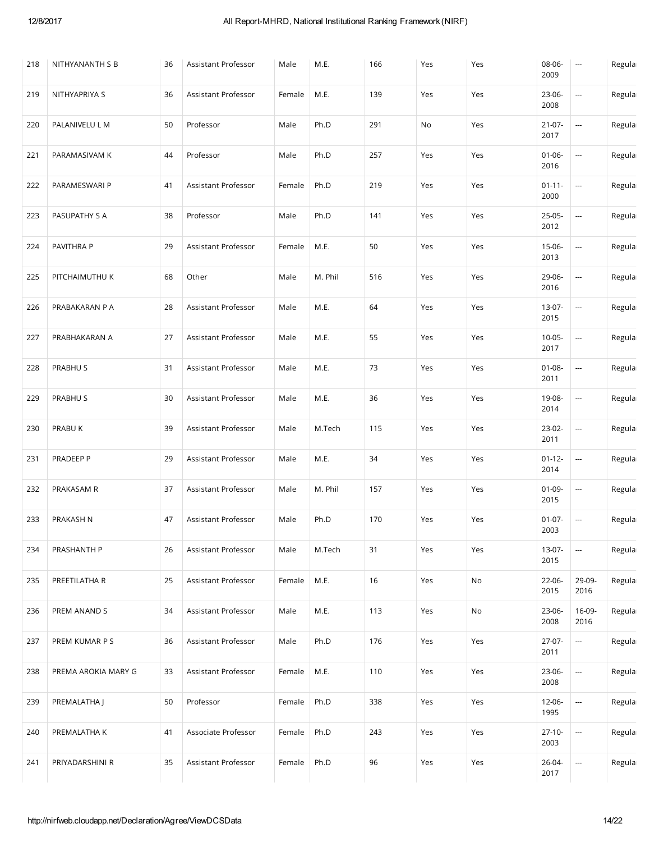| 218 | NITHYANANTH S B     | 36 | Assistant Professor | Male   | M.E.    | 166 | Yes | Yes | 08-06-<br>2009      | $\overline{\phantom{a}}$ | Regula |
|-----|---------------------|----|---------------------|--------|---------|-----|-----|-----|---------------------|--------------------------|--------|
| 219 | NITHYAPRIYA S       | 36 | Assistant Professor | Female | M.E.    | 139 | Yes | Yes | 23-06-<br>2008      | $\overline{\phantom{a}}$ | Regula |
| 220 | PALANIVELU L M      | 50 | Professor           | Male   | Ph.D    | 291 | No  | Yes | $21-07-$<br>2017    | --                       | Regula |
| 221 | PARAMASIVAM K       | 44 | Professor           | Male   | Ph.D    | 257 | Yes | Yes | $01 - 06 -$<br>2016 | --                       | Regula |
| 222 | PARAMESWARI P       | 41 | Assistant Professor | Female | Ph.D    | 219 | Yes | Yes | $01 - 11 -$<br>2000 | --                       | Regula |
| 223 | PASUPATHY S A       | 38 | Professor           | Male   | Ph.D    | 141 | Yes | Yes | 25-05-<br>2012      | --                       | Regula |
| 224 | PAVITHRA P          | 29 | Assistant Professor | Female | M.E.    | 50  | Yes | Yes | 15-06-<br>2013      | --                       | Regula |
| 225 | PITCHAIMUTHU K      | 68 | Other               | Male   | M. Phil | 516 | Yes | Yes | 29-06-<br>2016      | --                       | Regula |
| 226 | PRABAKARAN P A      | 28 | Assistant Professor | Male   | M.E.    | 64  | Yes | Yes | 13-07-<br>2015      | --                       | Regula |
| 227 | PRABHAKARAN A       | 27 | Assistant Professor | Male   | M.E.    | 55  | Yes | Yes | $10 - 05 -$<br>2017 | --                       | Regula |
| 228 | PRABHU S            | 31 | Assistant Professor | Male   | M.E.    | 73  | Yes | Yes | $01 - 08 -$<br>2011 | --                       | Regula |
| 229 | PRABHU S            | 30 | Assistant Professor | Male   | M.E.    | 36  | Yes | Yes | 19-08-<br>2014      | --                       | Regula |
| 230 | PRABU K             | 39 | Assistant Professor | Male   | M.Tech  | 115 | Yes | Yes | 23-02-<br>2011      | --                       | Regula |
| 231 | PRADEEP P           | 29 | Assistant Professor | Male   | M.E.    | 34  | Yes | Yes | $01 - 12 -$<br>2014 | --                       | Regula |
| 232 | PRAKASAM R          | 37 | Assistant Professor | Male   | M. Phil | 157 | Yes | Yes | $01 - 09 -$<br>2015 | --                       | Regula |
| 233 | PRAKASH N           | 47 | Assistant Professor | Male   | Ph.D    | 170 | Yes | Yes | $01-07-$<br>2003    | --                       | Regula |
| 234 | PRASHANTH P         | 26 | Assistant Professor | Male   | M.Tech  | 31  | Yes | Yes | 13-07-<br>2015      | --                       | Regula |
| 235 | PREETILATHA R       | 25 | Assistant Professor | Female | M.E.    | 16  | Yes | No  | 22-06-<br>2015      | 29-09-<br>2016           | Regula |
| 236 | PREM ANAND S        | 34 | Assistant Professor | Male   | M.E.    | 113 | Yes | No  | 23-06-<br>2008      | 16-09-<br>2016           | Regula |
| 237 | PREM KUMAR P S      | 36 | Assistant Professor | Male   | Ph.D    | 176 | Yes | Yes | 27-07-<br>2011      | $\overline{\phantom{a}}$ | Regula |
| 238 | PREMA AROKIA MARY G | 33 | Assistant Professor | Female | M.E.    | 110 | Yes | Yes | 23-06-<br>2008      | ---                      | Regula |
| 239 | PREMALATHA J        | 50 | Professor           | Female | Ph.D    | 338 | Yes | Yes | $12 - 06 -$<br>1995 | ---                      | Regula |
| 240 | PREMALATHA K        | 41 | Associate Professor | Female | Ph.D    | 243 | Yes | Yes | $27-10-$<br>2003    | $\overline{\phantom{a}}$ | Regula |
| 241 | PRIYADARSHINI R     | 35 | Assistant Professor | Female | Ph.D    | 96  | Yes | Yes | 26-04-<br>2017      | --                       | Regula |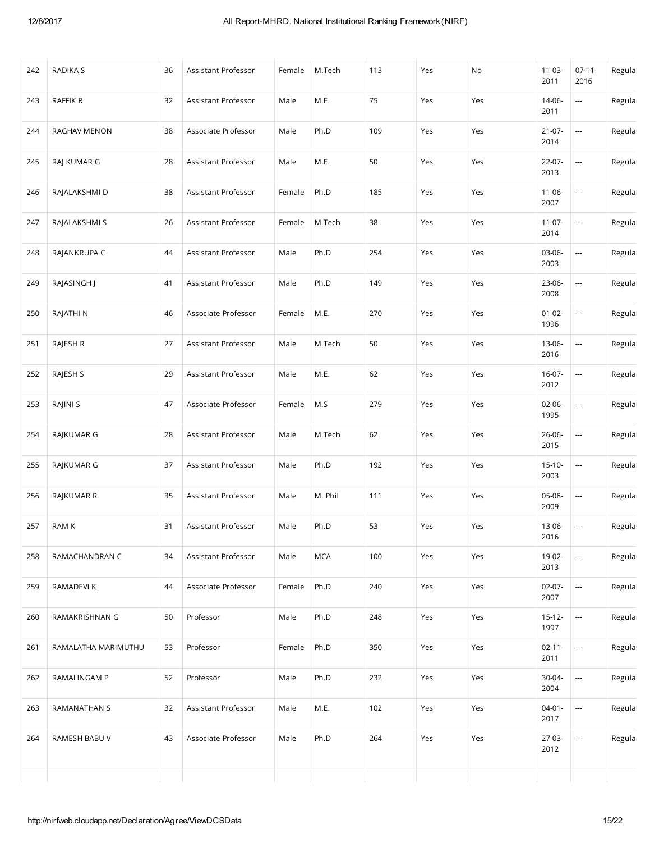| 242 | RADIKA S            | 36 | Assistant Professor | Female | M.Tech     | 113 | Yes | No  | $11 - 03 -$<br>2011 | $07-11-$<br>2016         | Regula |
|-----|---------------------|----|---------------------|--------|------------|-----|-----|-----|---------------------|--------------------------|--------|
| 243 | RAFFIK R            | 32 | Assistant Professor | Male   | M.E.       | 75  | Yes | Yes | 14-06-<br>2011      | --                       | Regula |
| 244 | RAGHAV MENON        | 38 | Associate Professor | Male   | Ph.D       | 109 | Yes | Yes | $21-07-$<br>2014    | --                       | Regula |
| 245 | RAJ KUMAR G         | 28 | Assistant Professor | Male   | M.E.       | 50  | Yes | Yes | $22 - 07 -$<br>2013 | $\overline{a}$           | Regula |
| 246 | RAJALAKSHMI D       | 38 | Assistant Professor | Female | Ph.D       | 185 | Yes | Yes | $11 - 06 -$<br>2007 | --                       | Regula |
| 247 | RAJALAKSHMI S       | 26 | Assistant Professor | Female | M.Tech     | 38  | Yes | Yes | $11-07-$<br>2014    | --                       | Regula |
| 248 | RAJANKRUPA C        | 44 | Assistant Professor | Male   | Ph.D       | 254 | Yes | Yes | 03-06-<br>2003      | --                       | Regula |
| 249 | RAJASINGH J         | 41 | Assistant Professor | Male   | Ph.D       | 149 | Yes | Yes | 23-06-<br>2008      | $\overline{a}$           | Regula |
| 250 | RAJATHI N           | 46 | Associate Professor | Female | M.E.       | 270 | Yes | Yes | $01 - 02 -$<br>1996 | --                       | Regula |
| 251 | RAJESH R            | 27 | Assistant Professor | Male   | M.Tech     | 50  | Yes | Yes | 13-06-<br>2016      | $\overline{\phantom{a}}$ | Regula |
| 252 | RAJESH S            | 29 | Assistant Professor | Male   | M.E.       | 62  | Yes | Yes | $16-07-$<br>2012    | --                       | Regula |
| 253 | RAJINI S            | 47 | Associate Professor | Female | M.S        | 279 | Yes | Yes | $02 - 06 -$<br>1995 | $\overline{a}$           | Regula |
| 254 | RAJKUMAR G          | 28 | Assistant Professor | Male   | M.Tech     | 62  | Yes | Yes | 26-06-<br>2015      | $\overline{\phantom{a}}$ | Regula |
| 255 | RAJKUMAR G          | 37 | Assistant Professor | Male   | Ph.D       | 192 | Yes | Yes | $15-10-$<br>2003    | $\overline{a}$           | Regula |
| 256 | RAJKUMAR R          | 35 | Assistant Professor | Male   | M. Phil    | 111 | Yes | Yes | 05-08-<br>2009      | --                       | Regula |
| 257 | RAM K               | 31 | Assistant Professor | Male   | Ph.D       | 53  | Yes | Yes | 13-06-<br>2016      | --                       | Regula |
| 258 | RAMACHANDRAN C      | 34 | Assistant Professor | Male   | <b>MCA</b> | 100 | Yes | Yes | 19-02-<br>2013      | --                       | Regula |
| 259 | RAMADEVI K          | 44 | Associate Professor | Female | Ph.D       | 240 | Yes | Yes | $02-07-$<br>2007    |                          | Regula |
| 260 | RAMAKRISHNAN G      | 50 | Professor           | Male   | Ph.D       | 248 | Yes | Yes | $15-12-$<br>1997    | --                       | Regula |
| 261 | RAMALATHA MARIMUTHU | 53 | Professor           | Female | Ph.D       | 350 | Yes | Yes | $02 - 11 -$<br>2011 | --                       | Regula |
| 262 | RAMALINGAM P        | 52 | Professor           | Male   | Ph.D       | 232 | Yes | Yes | 30-04-<br>2004      | --                       | Regula |
| 263 | RAMANATHAN S        | 32 | Assistant Professor | Male   | M.E.       | 102 | Yes | Yes | $04 - 01 -$<br>2017 | <b></b>                  | Regula |
| 264 | RAMESH BABU V       | 43 | Associate Professor | Male   | Ph.D       | 264 | Yes | Yes | 27-03-<br>2012      | $\overline{\phantom{a}}$ | Regula |
|     |                     |    |                     |        |            |     |     |     |                     |                          |        |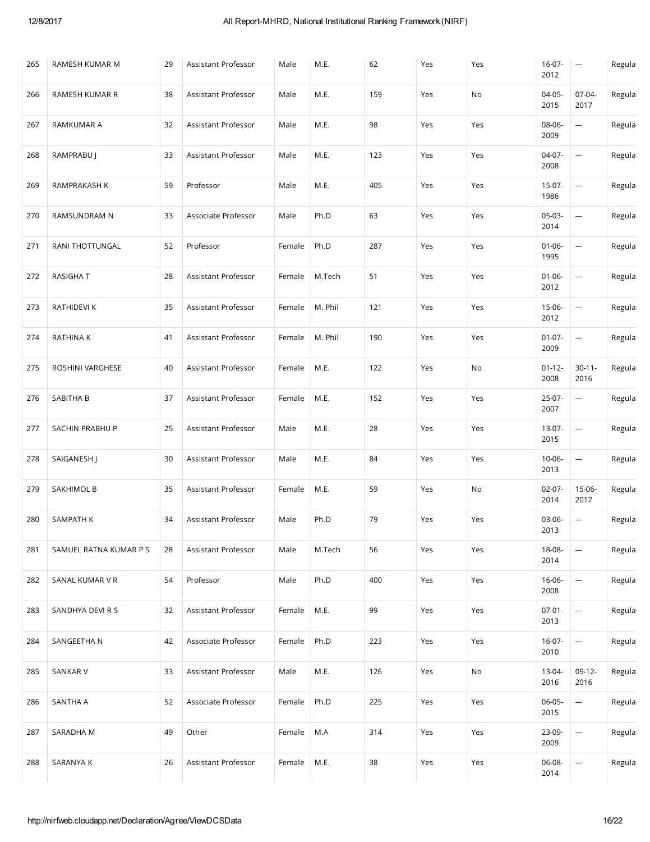| 265 | RAMESH KUMAR M         | 29 | Assistant Professor | Male   | M.E.    | 62  | Yes | Yes | $16-07-$<br>2012    | $\hspace{0.05cm} \cdots$ | Regula |
|-----|------------------------|----|---------------------|--------|---------|-----|-----|-----|---------------------|--------------------------|--------|
| 266 | RAMESH KUMAR R         | 38 | Assistant Professor | Male   | M.E.    | 159 | Yes | No  | 04-05-<br>2015      | 07-04-<br>2017           | Regula |
| 267 | RAMKUMAR A             | 32 | Assistant Professor | Male   | M.E.    | 98  | Yes | Yes | 08-06-<br>2009      | <b></b>                  | Regula |
| 268 | RAMPRABU J             | 33 | Assistant Professor | Male   | M.E.    | 123 | Yes | Yes | 04-07-<br>2008      | --                       | Regula |
| 269 | RAMPRAKASH K           | 59 | Professor           | Male   | M.E.    | 405 | Yes | Yes | $15-07-$<br>1986    | --                       | Regula |
| 270 | RAMSUNDRAM N           | 33 | Associate Professor | Male   | Ph.D    | 63  | Yes | Yes | 05-03-<br>2014      | --                       | Regula |
| 271 | RANI THOTTUNGAL        | 52 | Professor           | Female | Ph.D    | 287 | Yes | Yes | $01 - 06 -$<br>1995 | --                       | Regula |
| 272 | <b>RASIGHAT</b>        | 28 | Assistant Professor | Female | M.Tech  | 51  | Yes | Yes | $01 - 06 -$<br>2012 | --                       | Regula |
| 273 | RATHIDEVI K            | 35 | Assistant Professor | Female | M. Phil | 121 | Yes | Yes | 15-06-<br>2012      | --                       | Regula |
| 274 | RATHINA K              | 41 | Assistant Professor | Female | M. Phil | 190 | Yes | Yes | $01-07-$<br>2009    | --                       | Regula |
| 275 | ROSHINI VARGHESE       | 40 | Assistant Professor | Female | M.E.    | 122 | Yes | No  | $01 - 12 -$<br>2008 | $30 - 11 -$<br>2016      | Regula |
| 276 | SABITHA B              | 37 | Assistant Professor | Female | M.E.    | 152 | Yes | Yes | 25-07-<br>2007      | --                       | Regula |
| 277 | SACHIN PRABHU P        | 25 | Assistant Professor | Male   | M.E.    | 28  | Yes | Yes | 13-07-<br>2015      | ---                      | Regula |
| 278 | SAIGANESH J            | 30 | Assistant Professor | Male   | M.E.    | 84  | Yes | Yes | 10-06-<br>2013      | $\overline{\phantom{a}}$ | Regula |
| 279 | SAKHIMOL B             | 35 | Assistant Professor | Female | M.E.    | 59  | Yes | No  | $02-07-$<br>2014    | 15-06-<br>2017           | Regula |
| 280 | SAMPATH K              | 34 | Assistant Professor | Male   | Ph.D    | 79  | Yes | Yes | 03-06-<br>2013      | $\hspace{0.05cm}$        | Regula |
| 281 | SAMUEL RATNA KUMAR P S | 28 | Assistant Professor | Male   | M.Tech  | 56  | Yes | Yes | 18-08-<br>2014      | $\overline{a}$           | Regula |
| 282 | SANAL KUMAR V R        | 54 | Professor           | Male   | Ph.D    | 400 | Yes | Yes | $16 - 06 -$<br>2008 | $\overline{\phantom{a}}$ | Regula |
| 283 | SANDHYA DEVI R S       | 32 | Assistant Professor | Female | M.E.    | 99  | Yes | Yes | $07 - 01 -$<br>2013 | $\overline{\phantom{a}}$ | Regula |
| 284 | SANGEETHA N            | 42 | Associate Professor | Female | Ph.D    | 223 | Yes | Yes | $16-07-$<br>2010    | --                       | Regula |
| 285 | SANKAR V               | 33 | Assistant Professor | Male   | M.E.    | 126 | Yes | No  | 13-04-<br>2016      | $09-12-$<br>2016         | Regula |
| 286 | SANTHA A               | 52 | Associate Professor | Female | Ph.D    | 225 | Yes | Yes | 06-05-<br>2015      | $\overline{\phantom{a}}$ | Regula |
| 287 | SARADHA M              | 49 | Other               | Female | M.A     | 314 | Yes | Yes | 23-09-<br>2009      | --                       | Regula |
| 288 | SARANYA K              | 26 | Assistant Professor | Female | M.E.    | 38  | Yes | Yes | 06-08-<br>2014      | $\overline{\phantom{a}}$ | Regula |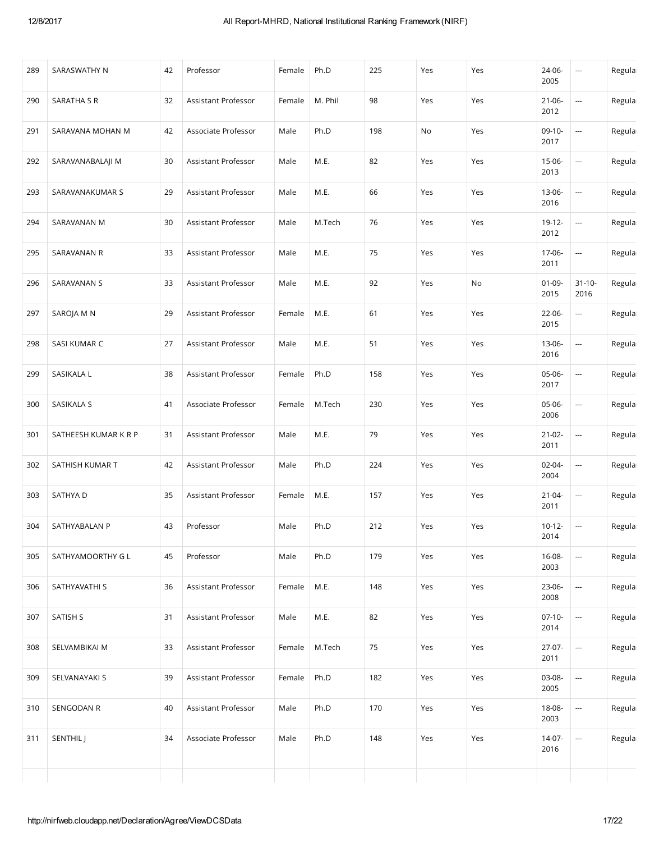| 289 | SARASWATHY N         | 42 | Professor           | Female | Ph.D    | 225 | Yes | Yes | 24-06-<br>2005      | ---                      | Regula |
|-----|----------------------|----|---------------------|--------|---------|-----|-----|-----|---------------------|--------------------------|--------|
| 290 | SARATHA S R          | 32 | Assistant Professor | Female | M. Phil | 98  | Yes | Yes | $21 - 06 -$<br>2012 | ---                      | Regula |
| 291 | SARAVANA MOHAN M     | 42 | Associate Professor | Male   | Ph.D    | 198 | No  | Yes | $09-10-$<br>2017    | ---                      | Regula |
| 292 | SARAVANABALAJI M     | 30 | Assistant Professor | Male   | M.E.    | 82  | Yes | Yes | 15-06-<br>2013      | $\overline{\phantom{a}}$ | Regula |
| 293 | SARAVANAKUMAR S      | 29 | Assistant Professor | Male   | M.E.    | 66  | Yes | Yes | $13 - 06 -$<br>2016 |                          | Regula |
| 294 | SARAVANAN M          | 30 | Assistant Professor | Male   | M.Tech  | 76  | Yes | Yes | $19-12-$<br>2012    | $\hspace{0.05cm} \cdots$ | Regula |
| 295 | SARAVANAN R          | 33 | Assistant Professor | Male   | M.E.    | 75  | Yes | Yes | 17-06-<br>2011      | ---                      | Regula |
| 296 | SARAVANAN S          | 33 | Assistant Professor | Male   | M.E.    | 92  | Yes | No  | $01-09-$<br>2015    | $31 - 10 -$<br>2016      | Regula |
| 297 | SAROJA M N           | 29 | Assistant Professor | Female | M.E.    | 61  | Yes | Yes | 22-06-<br>2015      | ---                      | Regula |
| 298 | SASI KUMAR C         | 27 | Assistant Professor | Male   | M.E.    | 51  | Yes | Yes | 13-06-<br>2016      | ---                      | Regula |
| 299 | SASIKALA L           | 38 | Assistant Professor | Female | Ph.D    | 158 | Yes | Yes | 05-06-<br>2017      | --                       | Regula |
| 300 | SASIKALA S           | 41 | Associate Professor | Female | M.Tech  | 230 | Yes | Yes | 05-06-<br>2006      | ---                      | Regula |
| 301 | SATHEESH KUMAR K R P | 31 | Assistant Professor | Male   | M.E.    | 79  | Yes | Yes | $21-02-$<br>2011    |                          | Regula |
| 302 | SATHISH KUMAR T      | 42 | Assistant Professor | Male   | Ph.D    | 224 | Yes | Yes | 02-04-<br>2004      | ---                      | Regula |
| 303 | SATHYA D             | 35 | Assistant Professor | Female | M.E.    | 157 | Yes | Yes | $21 - 04 -$<br>2011 | ---                      | Regula |
| 304 | SATHYABALAN P        | 43 | Professor           | Male   | Ph.D    | 212 | Yes | Yes | $10 - 12 -$<br>2014 | $\overline{\phantom{a}}$ | Regula |
| 305 | SATHYAMOORTHY G L    | 45 | Professor           | Male   | Ph.D    | 179 | Yes | Yes | 16-08-<br>2003      |                          | Regula |
| 306 | SATHYAVATHI S        | 36 | Assistant Professor | Female | M.E.    | 148 | Yes | Yes | 23-06-<br>2008      | ---                      | Regula |
| 307 | SATISH S             | 31 | Assistant Professor | Male   | M.E.    | 82  | Yes | Yes | $07-10-$<br>2014    | ---                      | Regula |
| 308 | SELVAMBIKAI M        | 33 | Assistant Professor | Female | M.Tech  | 75  | Yes | Yes | 27-07-<br>2011      | --                       | Regula |
| 309 | SELVANAYAKI S        | 39 | Assistant Professor | Female | Ph.D    | 182 | Yes | Yes | 03-08-<br>2005      | --                       | Regula |
| 310 | SENGODAN R           | 40 | Assistant Professor | Male   | Ph.D    | 170 | Yes | Yes | 18-08-<br>2003      | --                       | Regula |
| 311 | SENTHIL J            | 34 | Associate Professor | Male   | Ph.D    | 148 | Yes | Yes | $14-07-$<br>2016    | --                       | Regula |
|     |                      |    |                     |        |         |     |     |     |                     |                          |        |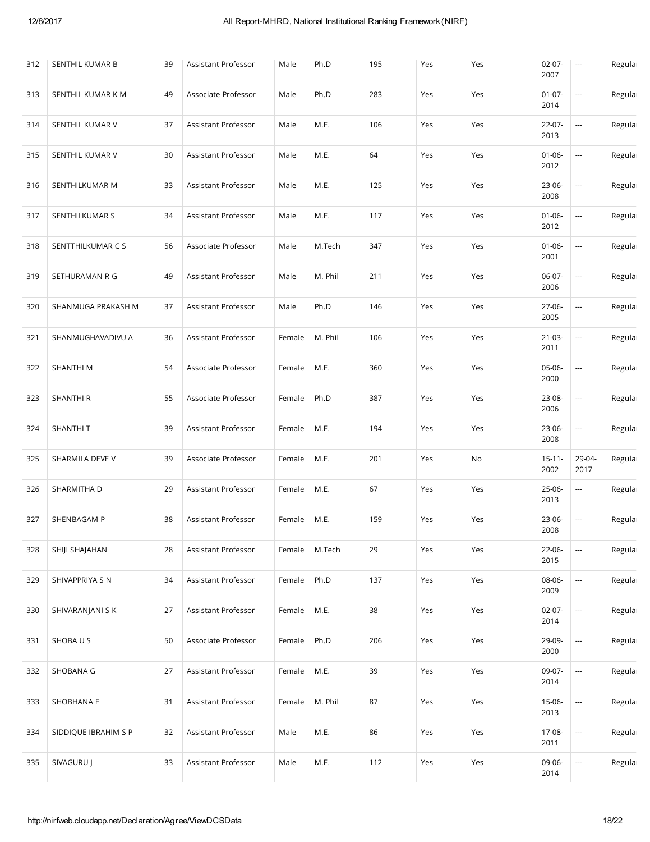| 312 | SENTHIL KUMAR B      | 39 | Assistant Professor | Male   | Ph.D    | 195 | Yes | Yes | $02 - 07 -$<br>2007 | $\hspace{0.05cm} \cdots$ | Regula |
|-----|----------------------|----|---------------------|--------|---------|-----|-----|-----|---------------------|--------------------------|--------|
| 313 | SENTHIL KUMAR K M    | 49 | Associate Professor | Male   | Ph.D    | 283 | Yes | Yes | $01-07-$<br>2014    | --                       | Regula |
| 314 | SENTHIL KUMAR V      | 37 | Assistant Professor | Male   | M.E.    | 106 | Yes | Yes | $22 - 07 -$<br>2013 |                          | Regula |
| 315 | SENTHIL KUMAR V      | 30 | Assistant Professor | Male   | M.E.    | 64  | Yes | Yes | $01 - 06 -$<br>2012 | --                       | Regula |
| 316 | SENTHILKUMAR M       | 33 | Assistant Professor | Male   | M.E.    | 125 | Yes | Yes | 23-06-<br>2008      | --                       | Regula |
| 317 | SENTHILKUMAR S       | 34 | Assistant Professor | Male   | M.E.    | 117 | Yes | Yes | $01 - 06 -$<br>2012 | ---                      | Regula |
| 318 | SENTTHILKUMAR C S    | 56 | Associate Professor | Male   | M.Tech  | 347 | Yes | Yes | $01 - 06 -$<br>2001 | <b></b>                  | Regula |
| 319 | SETHURAMAN R G       | 49 | Assistant Professor | Male   | M. Phil | 211 | Yes | Yes | 06-07-<br>2006      | $\overline{\phantom{a}}$ | Regula |
| 320 | SHANMUGA PRAKASH M   | 37 | Assistant Professor | Male   | Ph.D    | 146 | Yes | Yes | 27-06-<br>2005      | --                       | Regula |
| 321 | SHANMUGHAVADIVU A    | 36 | Assistant Professor | Female | M. Phil | 106 | Yes | Yes | $21-03-$<br>2011    | --                       | Regula |
| 322 | SHANTHI M            | 54 | Associate Professor | Female | M.E.    | 360 | Yes | Yes | 05-06-<br>2000      | <b></b>                  | Regula |
| 323 | SHANTHI R            | 55 | Associate Professor | Female | Ph.D    | 387 | Yes | Yes | 23-08-<br>2006      | --                       | Regula |
| 324 | SHANTHIT             | 39 | Assistant Professor | Female | M.E.    | 194 | Yes | Yes | 23-06-              | --                       | Regula |
|     |                      |    |                     |        |         |     |     |     | 2008                |                          |        |
| 325 | SHARMILA DEVE V      | 39 | Associate Professor | Female | M.E.    | 201 | Yes | No  | $15 - 11 -$<br>2002 | 29-04-<br>2017           | Regula |
| 326 | SHARMITHA D          | 29 | Assistant Professor | Female | M.E.    | 67  | Yes | Yes | 25-06-<br>2013      | <b></b>                  | Regula |
| 327 | SHENBAGAM P          | 38 | Assistant Professor | Female | M.E.    | 159 | Yes | Yes | 23-06-<br>2008      | $\hspace{0.05cm}$        | Regula |
| 328 | SHIJI SHAJAHAN       | 28 | Assistant Professor | Female | M.Tech  | 29  | Yes | Yes | 22-06-<br>2015      | --                       | Regula |
| 329 | SHIVAPPRIYA S N      | 34 | Assistant Professor | Female | Ph.D    | 137 | Yes | Yes | 08-06-<br>2009      | --                       | Regula |
| 330 | SHIVARANJANI S K     | 27 | Assistant Professor | Female | M.E.    | 38  | Yes | Yes | $02-07-$<br>2014    |                          | Regula |
| 331 | SHOBAUS              | 50 | Associate Professor | Female | Ph.D    | 206 | Yes | Yes | 29-09-<br>2000      | --                       | Regula |
| 332 | SHOBANA G            | 27 | Assistant Professor | Female | M.E.    | 39  | Yes | Yes | 09-07-<br>2014      | ---                      | Regula |
| 333 | SHOBHANA E           | 31 | Assistant Professor | Female | M. Phil | 87  | Yes | Yes | 15-06-<br>2013      | $\overline{\phantom{a}}$ | Regula |
| 334 | SIDDIQUE IBRAHIM S P | 32 | Assistant Professor | Male   | M.E.    | 86  | Yes | Yes | 17-08-<br>2011      | --                       | Regula |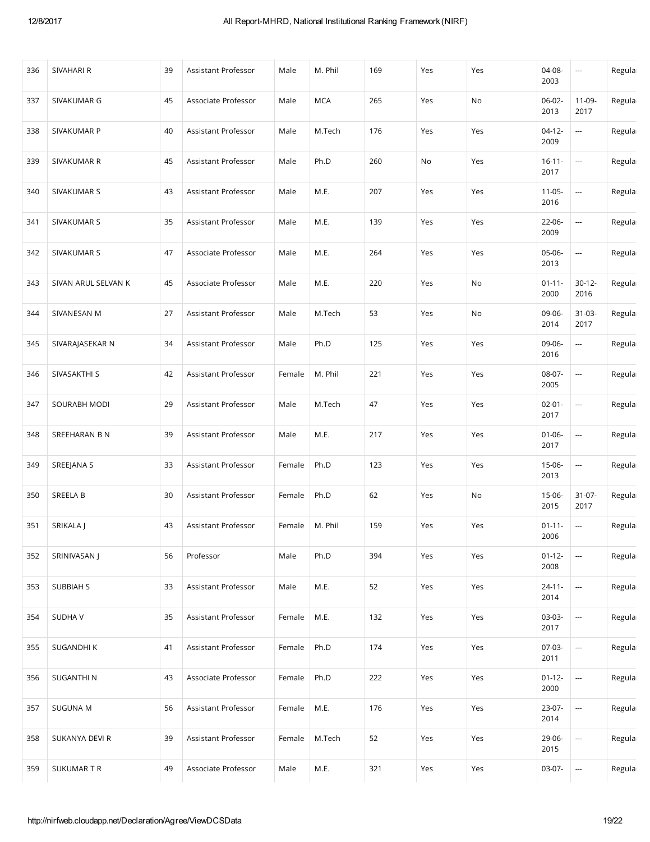| 336 | SIVAHARI R          | 39 | Assistant Professor | Male   | M. Phil    | 169 | Yes | Yes | 04-08-<br>2003      | $\hspace{0.05cm} \cdots$ | Regula |
|-----|---------------------|----|---------------------|--------|------------|-----|-----|-----|---------------------|--------------------------|--------|
| 337 | SIVAKUMAR G         | 45 | Associate Professor | Male   | <b>MCA</b> | 265 | Yes | No  | $06-02-$<br>2013    | 11-09-<br>2017           | Regula |
| 338 | SIVAKUMAR P         | 40 | Assistant Professor | Male   | M.Tech     | 176 | Yes | Yes | $04-12-$<br>2009    | --                       | Regula |
| 339 | SIVAKUMAR R         | 45 | Assistant Professor | Male   | Ph.D       | 260 | No  | Yes | $16 - 11 -$<br>2017 | $\overline{\phantom{a}}$ | Regula |
| 340 | SIVAKUMAR S         | 43 | Assistant Professor | Male   | M.E.       | 207 | Yes | Yes | $11-05-$<br>2016    | $\overline{\phantom{a}}$ | Regula |
| 341 | SIVAKUMAR S         | 35 | Assistant Professor | Male   | M.E.       | 139 | Yes | Yes | 22-06-<br>2009      | --                       | Regula |
| 342 | SIVAKUMAR S         | 47 | Associate Professor | Male   | M.E.       | 264 | Yes | Yes | 05-06-<br>2013      | $\overline{\phantom{a}}$ | Regula |
| 343 | SIVAN ARUL SELVAN K | 45 | Associate Professor | Male   | M.E.       | 220 | Yes | No  | $01 - 11 -$<br>2000 | $30-12-$<br>2016         | Regula |
| 344 | SIVANESAN M         | 27 | Assistant Professor | Male   | M.Tech     | 53  | Yes | No  | 09-06-<br>2014      | $31-03-$<br>2017         | Regula |
| 345 | SIVARAJASEKAR N     | 34 | Assistant Professor | Male   | Ph.D       | 125 | Yes | Yes | 09-06-<br>2016      | <b></b>                  | Regula |
| 346 | SIVASAKTHI S        | 42 | Assistant Professor | Female | M. Phil    | 221 | Yes | Yes | 08-07-<br>2005      | --                       | Regula |
| 347 | SOURABH MODI        | 29 | Assistant Professor | Male   | M.Tech     | 47  | Yes | Yes | $02 - 01 -$<br>2017 | --                       | Regula |
| 348 | SREEHARAN B N       | 39 | Assistant Professor | Male   | M.E.       | 217 | Yes | Yes | $01-06-$<br>2017    | --                       | Regula |
| 349 | SREEJANA S          | 33 | Assistant Professor | Female | Ph.D       | 123 | Yes | Yes | 15-06-<br>2013      | $\frac{1}{2}$            | Regula |
| 350 | SREELA B            | 30 | Assistant Professor | Female | Ph.D       | 62  | Yes | No  | 15-06-<br>2015      | $31-07-$<br>2017         | Regula |
| 351 | SRIKALA J           | 43 | Assistant Professor | Female | M. Phil    | 159 | Yes | Yes | $01 - 11 -$<br>2006 | $\overline{\phantom{a}}$ | Regula |
| 352 | SRINIVASAN J        | 56 | Professor           | Male   | Ph.D       | 394 | Yes | Yes | $01 - 12 -$<br>2008 | --                       | Regula |
| 353 | <b>SUBBIAH S</b>    | 33 | Assistant Professor | Male   | M.E.       | 52  | Yes | Yes | $24 - 11 -$<br>2014 | --                       | Regula |
| 354 | <b>SUDHAV</b>       | 35 | Assistant Professor | Female | M.E.       | 132 | Yes | Yes | 03-03-<br>2017      | --                       | Regula |
| 355 | SUGANDHI K          | 41 | Assistant Professor | Female | Ph.D       | 174 | Yes | Yes | 07-03-<br>2011      | $\overline{\phantom{a}}$ | Regula |
| 356 | SUGANTHI N          | 43 | Associate Professor | Female | Ph.D       | 222 | Yes | Yes | $01 - 12 -$<br>2000 | --                       | Regula |
| 357 | <b>SUGUNA M</b>     | 56 | Assistant Professor | Female | M.E.       | 176 | Yes | Yes | 23-07-<br>2014      | --                       | Regula |
| 358 | SUKANYA DEVI R      | 39 | Assistant Professor | Female | M.Tech     | 52  | Yes | Yes | 29-06-<br>2015      | --                       | Regula |
| 359 | SUKUMAR T R         | 49 | Associate Professor | Male   | M.E.       | 321 | Yes | Yes | 03-07-              | --                       | Regula |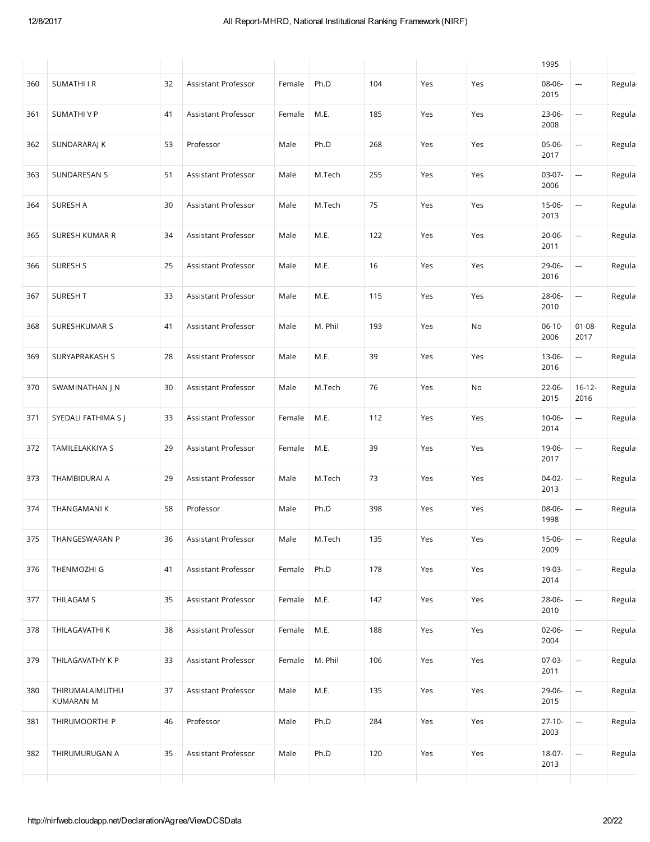|     |                                     |    |                     |        |         |     |     |     | 1995                |                          |        |
|-----|-------------------------------------|----|---------------------|--------|---------|-----|-----|-----|---------------------|--------------------------|--------|
| 360 | <b>SUMATHIIR</b>                    | 32 | Assistant Professor | Female | Ph.D    | 104 | Yes | Yes | 08-06-<br>2015      |                          | Regula |
| 361 | SUMATHI V P                         | 41 | Assistant Professor | Female | M.E.    | 185 | Yes | Yes | 23-06-<br>2008      | $\frac{1}{2}$            | Regula |
| 362 | SUNDARARAJ K                        | 53 | Professor           | Male   | Ph.D    | 268 | Yes | Yes | 05-06-<br>2017      | ---                      | Regula |
| 363 | SUNDARESAN S                        | 51 | Assistant Professor | Male   | M.Tech  | 255 | Yes | Yes | $03-07-$<br>2006    | --                       | Regula |
| 364 | SURESH A                            | 30 | Assistant Professor | Male   | M.Tech  | 75  | Yes | Yes | $15-06-$<br>2013    | ---                      | Regula |
| 365 | <b>SURESH KUMAR R</b>               | 34 | Assistant Professor | Male   | M.E.    | 122 | Yes | Yes | $20 - 06 -$<br>2011 | ---                      | Regula |
| 366 | SURESH S                            | 25 | Assistant Professor | Male   | M.E.    | 16  | Yes | Yes | 29-06-<br>2016      | ---                      | Regula |
| 367 | <b>SURESH T</b>                     | 33 | Assistant Professor | Male   | M.E.    | 115 | Yes | Yes | 28-06-<br>2010      | ---                      | Regula |
| 368 | SURESHKUMAR S                       | 41 | Assistant Professor | Male   | M. Phil | 193 | Yes | No  | $06-10-$<br>2006    | $01 - 08 -$<br>2017      | Regula |
| 369 | SURYAPRAKASH S                      | 28 | Assistant Professor | Male   | M.E.    | 39  | Yes | Yes | $13 - 06 -$<br>2016 | $\overline{\phantom{a}}$ | Regula |
| 370 | SWAMINATHAN J N                     | 30 | Assistant Professor | Male   | M.Tech  | 76  | Yes | No  | 22-06-<br>2015      | $16 - 12 -$<br>2016      | Regula |
| 371 | SYEDALI FATHIMA S J                 | 33 | Assistant Professor | Female | M.E.    | 112 | Yes | Yes | $10 - 06 -$<br>2014 | ---                      | Regula |
| 372 | TAMILELAKKIYA S                     | 29 | Assistant Professor | Female | M.E.    | 39  | Yes | Yes | 19-06-<br>2017      | ---                      | Regula |
| 373 | THAMBIDURAI A                       | 29 | Assistant Professor | Male   | M.Tech  | 73  | Yes | Yes | 04-02-<br>2013      | ---                      | Regula |
| 374 | THANGAMANI K                        | 58 | Professor           | Male   | Ph.D    | 398 | Yes | Yes | 08-06-<br>1998      | --                       | Regula |
| 375 | THANGESWARAN P                      | 36 | Assistant Professor | Male   | M.Tech  | 135 | Yes | Yes | 15-06-<br>2009      | ---                      | Regula |
| 376 | THENMOZHI G                         | 41 | Assistant Professor | Female | Ph.D    | 178 | Yes | Yes | 19-03-<br>2014      | <u></u>                  | Regula |
| 377 | THILAGAM S                          | 35 | Assistant Professor | Female | M.E.    | 142 | Yes | Yes | 28-06-<br>2010      | --                       | Regula |
| 378 | THILAGAVATHI K                      | 38 | Assistant Professor | Female | M.E.    | 188 | Yes | Yes | 02-06-<br>2004      | --                       | Regula |
| 379 | THILAGAVATHY K P                    | 33 | Assistant Professor | Female | M. Phil | 106 | Yes | Yes | 07-03-<br>2011      | $\overline{a}$           | Regula |
| 380 | THIRUMALAIMUTHU<br><b>KUMARAN M</b> | 37 | Assistant Professor | Male   | M.E.    | 135 | Yes | Yes | 29-06-<br>2015      | $\overline{a}$           | Regula |
| 381 | THIRUMOORTHI P                      | 46 | Professor           | Male   | Ph.D    | 284 | Yes | Yes | $27-10-$<br>2003    | --                       | Regula |
| 382 | THIRUMURUGAN A                      | 35 | Assistant Professor | Male   | Ph.D    | 120 | Yes | Yes | 18-07-<br>2013      | --                       | Regula |
|     |                                     |    |                     |        |         |     |     |     |                     |                          |        |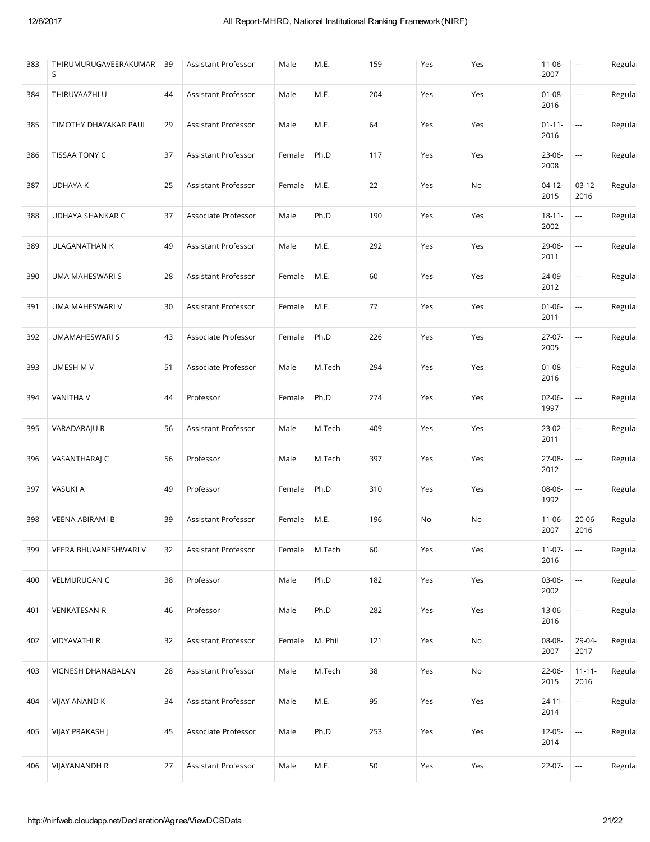| 383 | THIRUMURUGAVEERAKUMAR<br>S | 39 | Assistant Professor | Male   | M.E.    | 159 | Yes | Yes | $11-06-$<br>2007    | $\hspace{0.05cm} \cdots$ | Regula |
|-----|----------------------------|----|---------------------|--------|---------|-----|-----|-----|---------------------|--------------------------|--------|
| 384 | THIRUVAAZHI U              | 44 | Assistant Professor | Male   | M.E.    | 204 | Yes | Yes | $01 - 08 -$<br>2016 | $\overline{\phantom{a}}$ | Regula |
| 385 | TIMOTHY DHAYAKAR PAUL      | 29 | Assistant Professor | Male   | M.E.    | 64  | Yes | Yes | $01 - 11 -$<br>2016 | ---                      | Regula |
| 386 | TISSAA TONY C              | 37 | Assistant Professor | Female | Ph.D    | 117 | Yes | Yes | 23-06-<br>2008      | $\overline{\phantom{a}}$ | Regula |
| 387 | <b>UDHAYA K</b>            | 25 | Assistant Professor | Female | M.E.    | 22  | Yes | No  | $04-12-$<br>2015    | $03-12-$<br>2016         | Regula |
| 388 | UDHAYA SHANKAR C           | 37 | Associate Professor | Male   | Ph.D    | 190 | Yes | Yes | $18 - 11 -$<br>2002 | $\overline{\phantom{a}}$ | Regula |
| 389 | <b>ULAGANATHAN K</b>       | 49 | Assistant Professor | Male   | M.E.    | 292 | Yes | Yes | 29-06-<br>2011      |                          | Regula |
| 390 | UMA MAHESWARI S            | 28 | Assistant Professor | Female | M.E.    | 60  | Yes | Yes | 24-09-<br>2012      | ---                      | Regula |
| 391 | UMA MAHESWARI V            | 30 | Assistant Professor | Female | M.E.    | 77  | Yes | Yes | $01 - 06 -$<br>2011 | ---                      | Regula |
| 392 | UMAMAHESWARI S             | 43 | Associate Professor | Female | Ph.D    | 226 | Yes | Yes | 27-07-<br>2005      | ---                      | Regula |
| 393 | UMESH M V                  | 51 | Associate Professor | Male   | M.Tech  | 294 | Yes | Yes | $01 - 08 -$<br>2016 |                          | Regula |
| 394 | <b>VANITHA V</b>           | 44 | Professor           | Female | Ph.D    | 274 | Yes | Yes | 02-06-<br>1997      | $\overline{\phantom{a}}$ | Regula |
| 395 | VARADARAJU R               | 56 | Assistant Professor | Male   | M.Tech  | 409 | Yes | Yes | 23-02-<br>2011      | ---                      | Regula |
| 396 | VASANTHARAJ C              | 56 | Professor           | Male   | M.Tech  | 397 | Yes | Yes | 27-08-<br>2012      | ---                      | Regula |
| 397 | VASUKI A                   | 49 | Professor           | Female | Ph.D    | 310 | Yes | Yes | 08-06-<br>1992      |                          | Regula |
| 398 | VEENA ABIRAMI B            | 39 | Assistant Professor | Female | M.E.    | 196 | No  | No  | $11-06-$<br>2007    | $20 - 06 -$<br>2016      | Regula |
| 399 | VEERA BHUVANESHWARI V      | 32 | Assistant Professor | Female | M.Tech  | 60  | Yes | Yes | $11-07-$<br>2016    | --                       | Regula |
| 400 | VELMURUGAN C               | 38 | Professor           | Male   | Ph.D    | 182 | Yes | Yes | 03-06-<br>2002      | ---                      | Regula |
| 401 | <b>VENKATESAN R</b>        | 46 | Professor           | Male   | Ph.D    | 282 | Yes | Yes | 13-06-<br>2016      |                          | Regula |
| 402 | <b>VIDYAVATHI R</b>        | 32 | Assistant Professor | Female | M. Phil | 121 | Yes | No  | 08-08-<br>2007      | 29-04-<br>2017           | Regula |
| 403 | VIGNESH DHANABALAN         | 28 | Assistant Professor | Male   | M.Tech  | 38  | Yes | No  | 22-06-<br>2015      | $11 - 11 -$<br>2016      | Regula |
| 404 | VIJAY ANAND K              | 34 | Assistant Professor | Male   | M.E.    | 95  | Yes | Yes | $24 - 11 -$<br>2014 | ---                      | Regula |
| 405 | VIJAY PRAKASH J            | 45 | Associate Professor | Male   | Ph.D    | 253 | Yes | Yes | $12 - 05 -$<br>2014 | ---                      | Regula |
| 406 | VIJAYANANDH R              | 27 | Assistant Professor | Male   | M.E.    | 50  | Yes | Yes | 22-07-              | --                       | Regula |